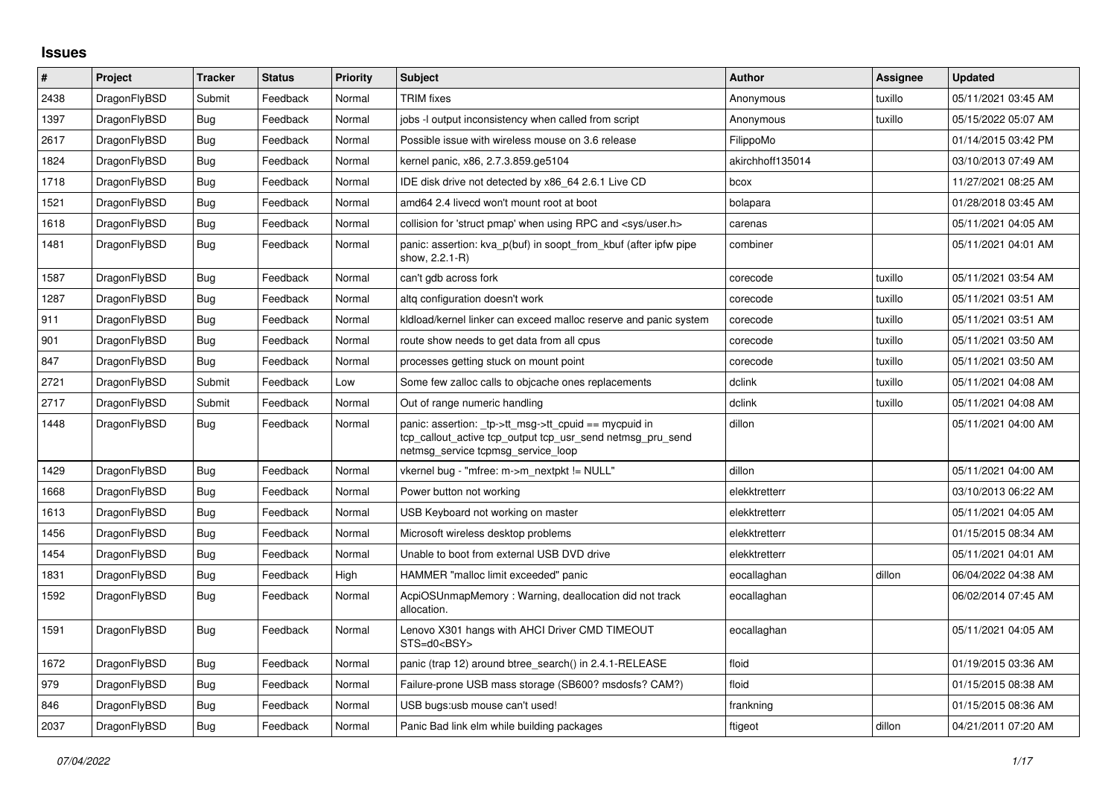## **Issues**

| #    | Project      | <b>Tracker</b> | <b>Status</b> | <b>Priority</b> | <b>Subject</b>                                                                                                                                            | <b>Author</b>    | Assignee | <b>Updated</b>      |
|------|--------------|----------------|---------------|-----------------|-----------------------------------------------------------------------------------------------------------------------------------------------------------|------------------|----------|---------------------|
| 2438 | DragonFlyBSD | Submit         | Feedback      | Normal          | <b>TRIM</b> fixes                                                                                                                                         | Anonymous        | tuxillo  | 05/11/2021 03:45 AM |
| 1397 | DragonFlyBSD | Bug            | Feedback      | Normal          | jobs -I output inconsistency when called from script                                                                                                      | Anonymous        | tuxillo  | 05/15/2022 05:07 AM |
| 2617 | DragonFlyBSD | Bug            | Feedback      | Normal          | Possible issue with wireless mouse on 3.6 release                                                                                                         | FilippoMo        |          | 01/14/2015 03:42 PM |
| 1824 | DragonFlyBSD | <b>Bug</b>     | Feedback      | Normal          | kernel panic, x86, 2.7.3.859.ge5104                                                                                                                       | akirchhoff135014 |          | 03/10/2013 07:49 AM |
| 1718 | DragonFlyBSD | <b>Bug</b>     | Feedback      | Normal          | IDE disk drive not detected by x86 64 2.6.1 Live CD                                                                                                       | bcox             |          | 11/27/2021 08:25 AM |
| 1521 | DragonFlyBSD | <b>Bug</b>     | Feedback      | Normal          | amd64 2.4 livecd won't mount root at boot                                                                                                                 | bolapara         |          | 01/28/2018 03:45 AM |
| 1618 | DragonFlyBSD | <b>Bug</b>     | Feedback      | Normal          | collision for 'struct pmap' when using RPC and <sys user.h=""></sys>                                                                                      | carenas          |          | 05/11/2021 04:05 AM |
| 1481 | DragonFlyBSD | <b>Bug</b>     | Feedback      | Normal          | panic: assertion: kva_p(buf) in soopt_from_kbuf (after ipfw pipe<br>show, 2.2.1-R)                                                                        | combiner         |          | 05/11/2021 04:01 AM |
| 1587 | DragonFlyBSD | Bug            | Feedback      | Normal          | can't gdb across fork                                                                                                                                     | corecode         | tuxillo  | 05/11/2021 03:54 AM |
| 1287 | DragonFlyBSD | Bug            | Feedback      | Normal          | altq configuration doesn't work                                                                                                                           | corecode         | tuxillo  | 05/11/2021 03:51 AM |
| 911  | DragonFlyBSD | <b>Bug</b>     | Feedback      | Normal          | kidload/kernel linker can exceed malloc reserve and panic system                                                                                          | corecode         | tuxillo  | 05/11/2021 03:51 AM |
| 901  | DragonFlyBSD | Bug            | Feedback      | Normal          | route show needs to get data from all cpus                                                                                                                | corecode         | tuxillo  | 05/11/2021 03:50 AM |
| 847  | DragonFlyBSD | Bug            | Feedback      | Normal          | processes getting stuck on mount point                                                                                                                    | corecode         | tuxillo  | 05/11/2021 03:50 AM |
| 2721 | DragonFlyBSD | Submit         | Feedback      | Low             | Some few zalloc calls to objcache ones replacements                                                                                                       | dclink           | tuxillo  | 05/11/2021 04:08 AM |
| 2717 | DragonFlyBSD | Submit         | Feedback      | Normal          | Out of range numeric handling                                                                                                                             | dclink           | tuxillo  | 05/11/2021 04:08 AM |
| 1448 | DragonFlyBSD | Bug            | Feedback      | Normal          | panic: assertion: _tp->tt_msg->tt_cpuid == mycpuid in<br>tcp_callout_active tcp_output tcp_usr_send netmsg_pru_send<br>netmsg_service tcpmsg_service_loop | dillon           |          | 05/11/2021 04:00 AM |
| 1429 | DragonFlyBSD | <b>Bug</b>     | Feedback      | Normal          | vkernel bug - "mfree: m->m_nextpkt != NULL"                                                                                                               | dillon           |          | 05/11/2021 04:00 AM |
| 1668 | DragonFlyBSD | Bug            | Feedback      | Normal          | Power button not working                                                                                                                                  | elekktretterr    |          | 03/10/2013 06:22 AM |
| 1613 | DragonFlyBSD | <b>Bug</b>     | Feedback      | Normal          | USB Keyboard not working on master                                                                                                                        | elekktretterr    |          | 05/11/2021 04:05 AM |
| 1456 | DragonFlyBSD | Bug            | Feedback      | Normal          | Microsoft wireless desktop problems                                                                                                                       | elekktretterr    |          | 01/15/2015 08:34 AM |
| 1454 | DragonFlyBSD | <b>Bug</b>     | Feedback      | Normal          | Unable to boot from external USB DVD drive                                                                                                                | elekktretterr    |          | 05/11/2021 04:01 AM |
| 1831 | DragonFlyBSD | <b>Bug</b>     | Feedback      | High            | HAMMER "malloc limit exceeded" panic                                                                                                                      | eocallaghan      | dillon   | 06/04/2022 04:38 AM |
| 1592 | DragonFlyBSD | <b>Bug</b>     | Feedback      | Normal          | AcpiOSUnmapMemory: Warning, deallocation did not track<br>allocation.                                                                                     | eocallaghan      |          | 06/02/2014 07:45 AM |
| 1591 | DragonFlyBSD | Bug            | Feedback      | Normal          | Lenovo X301 hangs with AHCI Driver CMD TIMEOUT<br>STS=d0 <bsy></bsy>                                                                                      | eocallaghan      |          | 05/11/2021 04:05 AM |
| 1672 | DragonFlyBSD | <b>Bug</b>     | Feedback      | Normal          | panic (trap 12) around btree search() in 2.4.1-RELEASE                                                                                                    | floid            |          | 01/19/2015 03:36 AM |
| 979  | DragonFlyBSD | Bug            | Feedback      | Normal          | Failure-prone USB mass storage (SB600? msdosfs? CAM?)                                                                                                     | floid            |          | 01/15/2015 08:38 AM |
| 846  | DragonFlyBSD | Bug            | Feedback      | Normal          | USB bugs:usb mouse can't used!                                                                                                                            | frankning        |          | 01/15/2015 08:36 AM |
| 2037 | DragonFlyBSD | <b>Bug</b>     | Feedback      | Normal          | Panic Bad link elm while building packages                                                                                                                | ftigeot          | dillon   | 04/21/2011 07:20 AM |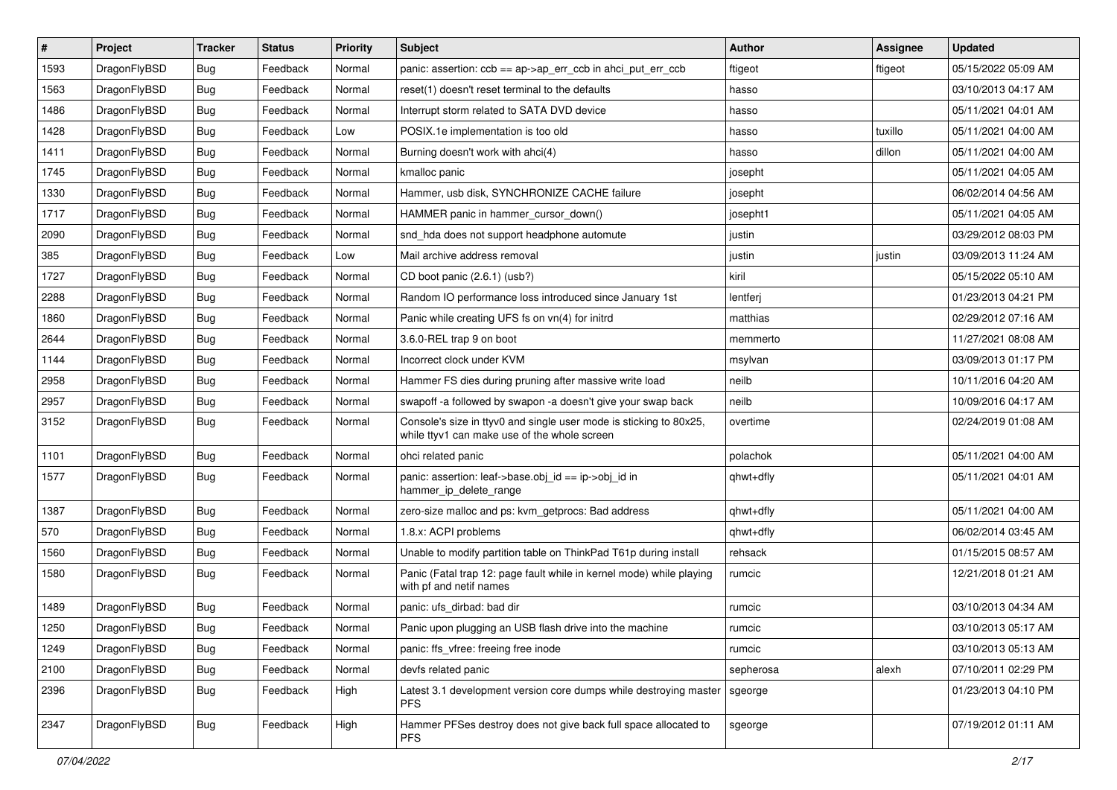| $\vert$ # | Project      | <b>Tracker</b> | <b>Status</b> | <b>Priority</b> | <b>Subject</b>                                                                                                     | <b>Author</b> | Assignee | <b>Updated</b>      |
|-----------|--------------|----------------|---------------|-----------------|--------------------------------------------------------------------------------------------------------------------|---------------|----------|---------------------|
| 1593      | DragonFlyBSD | <b>Bug</b>     | Feedback      | Normal          | panic: assertion: $ccb == ap$ ->ap_err_ccb in ahci_put_err_ccb                                                     | ftigeot       | ftigeot  | 05/15/2022 05:09 AM |
| 1563      | DragonFlyBSD | Bug            | Feedback      | Normal          | reset(1) doesn't reset terminal to the defaults                                                                    | hasso         |          | 03/10/2013 04:17 AM |
| 1486      | DragonFlyBSD | <b>Bug</b>     | Feedback      | Normal          | Interrupt storm related to SATA DVD device                                                                         | hasso         |          | 05/11/2021 04:01 AM |
| 1428      | DragonFlyBSD | <b>Bug</b>     | Feedback      | Low             | POSIX.1e implementation is too old                                                                                 | hasso         | tuxillo  | 05/11/2021 04:00 AM |
| 1411      | DragonFlyBSD | <b>Bug</b>     | Feedback      | Normal          | Burning doesn't work with ahci(4)                                                                                  | hasso         | dillon   | 05/11/2021 04:00 AM |
| 1745      | DragonFlyBSD | <b>Bug</b>     | Feedback      | Normal          | kmalloc panic                                                                                                      | josepht       |          | 05/11/2021 04:05 AM |
| 1330      | DragonFlyBSD | Bug            | Feedback      | Normal          | Hammer, usb disk, SYNCHRONIZE CACHE failure                                                                        | josepht       |          | 06/02/2014 04:56 AM |
| 1717      | DragonFlyBSD | <b>Bug</b>     | Feedback      | Normal          | HAMMER panic in hammer cursor down()                                                                               | josepht1      |          | 05/11/2021 04:05 AM |
| 2090      | DragonFlyBSD | <b>Bug</b>     | Feedback      | Normal          | snd_hda does not support headphone automute                                                                        | justin        |          | 03/29/2012 08:03 PM |
| 385       | DragonFlyBSD | <b>Bug</b>     | Feedback      | Low             | Mail archive address removal                                                                                       | justin        | justin   | 03/09/2013 11:24 AM |
| 1727      | DragonFlyBSD | Bug            | Feedback      | Normal          | CD boot panic (2.6.1) (usb?)                                                                                       | kiril         |          | 05/15/2022 05:10 AM |
| 2288      | DragonFlyBSD | Bug            | Feedback      | Normal          | Random IO performance loss introduced since January 1st                                                            | lentferj      |          | 01/23/2013 04:21 PM |
| 1860      | DragonFlyBSD | Bug            | Feedback      | Normal          | Panic while creating UFS fs on vn(4) for initrd                                                                    | matthias      |          | 02/29/2012 07:16 AM |
| 2644      | DragonFlyBSD | Bug            | Feedback      | Normal          | 3.6.0-REL trap 9 on boot                                                                                           | memmerto      |          | 11/27/2021 08:08 AM |
| 1144      | DragonFlyBSD | <b>Bug</b>     | Feedback      | Normal          | Incorrect clock under KVM                                                                                          | msylvan       |          | 03/09/2013 01:17 PM |
| 2958      | DragonFlyBSD | <b>Bug</b>     | Feedback      | Normal          | Hammer FS dies during pruning after massive write load                                                             | neilb         |          | 10/11/2016 04:20 AM |
| 2957      | DragonFlyBSD | Bug            | Feedback      | Normal          | swapoff -a followed by swapon -a doesn't give your swap back                                                       | neilb         |          | 10/09/2016 04:17 AM |
| 3152      | DragonFlyBSD | Bug            | Feedback      | Normal          | Console's size in ttyv0 and single user mode is sticking to 80x25,<br>while ttyv1 can make use of the whole screen | overtime      |          | 02/24/2019 01:08 AM |
| 1101      | DragonFlyBSD | Bug            | Feedback      | Normal          | ohci related panic                                                                                                 | polachok      |          | 05/11/2021 04:00 AM |
| 1577      | DragonFlyBSD | <b>Bug</b>     | Feedback      | Normal          | panic: assertion: leaf->base.obj_id == ip->obj_id in<br>hammer_ip_delete_range                                     | qhwt+dfly     |          | 05/11/2021 04:01 AM |
| 1387      | DragonFlyBSD | <b>Bug</b>     | Feedback      | Normal          | zero-size malloc and ps: kvm_getprocs: Bad address                                                                 | qhwt+dfly     |          | 05/11/2021 04:00 AM |
| 570       | DragonFlyBSD | <b>Bug</b>     | Feedback      | Normal          | 1.8.x: ACPI problems                                                                                               | qhwt+dfly     |          | 06/02/2014 03:45 AM |
| 1560      | DragonFlyBSD | Bug            | Feedback      | Normal          | Unable to modify partition table on ThinkPad T61p during install                                                   | rehsack       |          | 01/15/2015 08:57 AM |
| 1580      | DragonFlyBSD | Bug            | Feedback      | Normal          | Panic (Fatal trap 12: page fault while in kernel mode) while playing<br>with pf and netif names                    | rumcic        |          | 12/21/2018 01:21 AM |
| 1489      | DragonFlyBSD | Bug            | Feedback      | Normal          | panic: ufs dirbad: bad dir                                                                                         | rumcic        |          | 03/10/2013 04:34 AM |
| 1250      | DragonFlyBSD | Bug            | Feedback      | Normal          | Panic upon plugging an USB flash drive into the machine                                                            | rumcic        |          | 03/10/2013 05:17 AM |
| 1249      | DragonFlyBSD | Bug            | Feedback      | Normal          | panic: ffs vfree: freeing free inode                                                                               | rumcic        |          | 03/10/2013 05:13 AM |
| 2100      | DragonFlyBSD | <b>Bug</b>     | Feedback      | Normal          | devfs related panic                                                                                                | sepherosa     | alexh    | 07/10/2011 02:29 PM |
| 2396      | DragonFlyBSD | <b>Bug</b>     | Feedback      | High            | Latest 3.1 development version core dumps while destroying master<br>PFS.                                          | sgeorge       |          | 01/23/2013 04:10 PM |
| 2347      | DragonFlyBSD | Bug            | Feedback      | High            | Hammer PFSes destroy does not give back full space allocated to<br>PFS.                                            | sgeorge       |          | 07/19/2012 01:11 AM |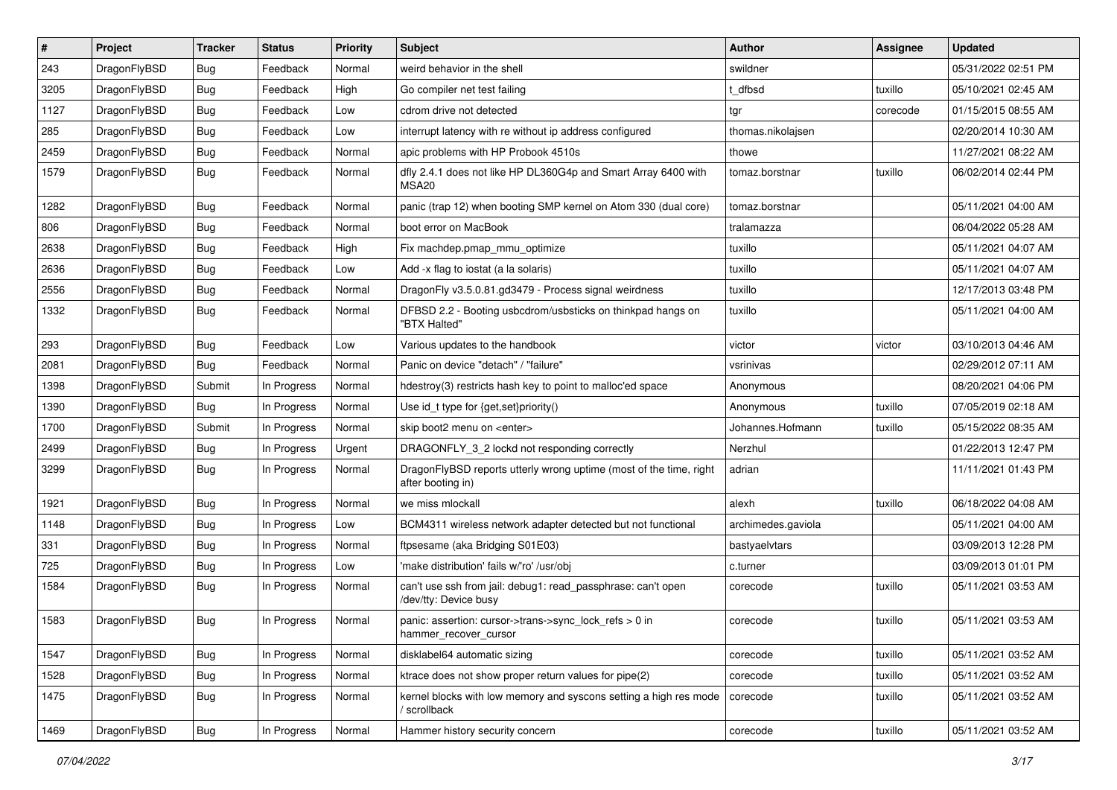| #    | Project      | <b>Tracker</b> | <b>Status</b> | <b>Priority</b> | <b>Subject</b>                                                                          | <b>Author</b>      | <b>Assignee</b> | <b>Updated</b>      |
|------|--------------|----------------|---------------|-----------------|-----------------------------------------------------------------------------------------|--------------------|-----------------|---------------------|
| 243  | DragonFlyBSD | <b>Bug</b>     | Feedback      | Normal          | weird behavior in the shell                                                             | swildner           |                 | 05/31/2022 02:51 PM |
| 3205 | DragonFlyBSD | Bug            | Feedback      | High            | Go compiler net test failing                                                            | dfbsd              | tuxillo         | 05/10/2021 02:45 AM |
| 1127 | DragonFlyBSD | <b>Bug</b>     | Feedback      | Low             | cdrom drive not detected                                                                | tgr                | corecode        | 01/15/2015 08:55 AM |
| 285  | DragonFlyBSD | <b>Bug</b>     | Feedback      | Low             | interrupt latency with re without ip address configured                                 | thomas.nikolajsen  |                 | 02/20/2014 10:30 AM |
| 2459 | DragonFlyBSD | <b>Bug</b>     | Feedback      | Normal          | apic problems with HP Probook 4510s                                                     | thowe              |                 | 11/27/2021 08:22 AM |
| 1579 | DragonFlyBSD | <b>Bug</b>     | Feedback      | Normal          | dfly 2.4.1 does not like HP DL360G4p and Smart Array 6400 with<br><b>MSA20</b>          | tomaz.borstnar     | tuxillo         | 06/02/2014 02:44 PM |
| 1282 | DragonFlyBSD | <b>Bug</b>     | Feedback      | Normal          | panic (trap 12) when booting SMP kernel on Atom 330 (dual core)                         | tomaz.borstnar     |                 | 05/11/2021 04:00 AM |
| 806  | DragonFlyBSD | <b>Bug</b>     | Feedback      | Normal          | boot error on MacBook                                                                   | tralamazza         |                 | 06/04/2022 05:28 AM |
| 2638 | DragonFlyBSD | <b>Bug</b>     | Feedback      | High            | Fix machdep.pmap_mmu_optimize                                                           | tuxillo            |                 | 05/11/2021 04:07 AM |
| 2636 | DragonFlyBSD | <b>Bug</b>     | Feedback      | Low             | Add -x flag to iostat (a la solaris)                                                    | tuxillo            |                 | 05/11/2021 04:07 AM |
| 2556 | DragonFlyBSD | <b>Bug</b>     | Feedback      | Normal          | DragonFly v3.5.0.81.gd3479 - Process signal weirdness                                   | tuxillo            |                 | 12/17/2013 03:48 PM |
| 1332 | DragonFlyBSD | Bug            | Feedback      | Normal          | DFBSD 2.2 - Booting usbcdrom/usbsticks on thinkpad hangs on<br>"BTX Halted"             | tuxillo            |                 | 05/11/2021 04:00 AM |
| 293  | DragonFlyBSD | Bug            | Feedback      | Low             | Various updates to the handbook                                                         | victor             | victor          | 03/10/2013 04:46 AM |
| 2081 | DragonFlyBSD | <b>Bug</b>     | Feedback      | Normal          | Panic on device "detach" / "failure"                                                    | vsrinivas          |                 | 02/29/2012 07:11 AM |
| 1398 | DragonFlyBSD | Submit         | In Progress   | Normal          | hdestroy(3) restricts hash key to point to malloc'ed space                              | Anonymous          |                 | 08/20/2021 04:06 PM |
| 1390 | DragonFlyBSD | Bug            | In Progress   | Normal          | Use id_t type for {get,set}priority()                                                   | Anonymous          | tuxillo         | 07/05/2019 02:18 AM |
| 1700 | DragonFlyBSD | Submit         | In Progress   | Normal          | skip boot2 menu on <enter></enter>                                                      | Johannes.Hofmann   | tuxillo         | 05/15/2022 08:35 AM |
| 2499 | DragonFlyBSD | Bug            | In Progress   | Urgent          | DRAGONFLY_3_2 lockd not responding correctly                                            | Nerzhul            |                 | 01/22/2013 12:47 PM |
| 3299 | DragonFlyBSD | Bug            | In Progress   | Normal          | DragonFlyBSD reports utterly wrong uptime (most of the time, right<br>after booting in) | adrian             |                 | 11/11/2021 01:43 PM |
| 1921 | DragonFlyBSD | Bug            | In Progress   | Normal          | we miss mlockall                                                                        | alexh              | tuxillo         | 06/18/2022 04:08 AM |
| 1148 | DragonFlyBSD | <b>Bug</b>     | In Progress   | Low             | BCM4311 wireless network adapter detected but not functional                            | archimedes.gaviola |                 | 05/11/2021 04:00 AM |
| 331  | DragonFlyBSD | <b>Bug</b>     | In Progress   | Normal          | ftpsesame (aka Bridging S01E03)                                                         | bastyaelvtars      |                 | 03/09/2013 12:28 PM |
| 725  | DragonFlyBSD | <b>Bug</b>     | In Progress   | Low             | 'make distribution' fails w/'ro' /usr/obj                                               | c.turner           |                 | 03/09/2013 01:01 PM |
| 1584 | DragonFlyBSD | <b>Bug</b>     | In Progress   | Normal          | can't use ssh from jail: debug1: read_passphrase: can't open<br>/dev/tty: Device busy   | corecode           | tuxillo         | 05/11/2021 03:53 AM |
| 1583 | DragonFlyBSD | <b>Bug</b>     | In Progress   | Normal          | panic: assertion: cursor->trans->sync_lock_refs > 0 in<br>hammer_recover_cursor         | corecode           | tuxillo         | 05/11/2021 03:53 AM |
| 1547 | DragonFlyBSD | Bug            | In Progress   | Normal          | disklabel64 automatic sizing                                                            | corecode           | tuxillo         | 05/11/2021 03:52 AM |
| 1528 | DragonFlyBSD | <b>Bug</b>     | In Progress   | Normal          | ktrace does not show proper return values for pipe(2)                                   | corecode           | tuxillo         | 05/11/2021 03:52 AM |
| 1475 | DragonFlyBSD | <b>Bug</b>     | In Progress   | Normal          | kernel blocks with low memory and syscons setting a high res mode<br>scrollback         | corecode           | tuxillo         | 05/11/2021 03:52 AM |
| 1469 | DragonFlyBSD | Bug            | In Progress   | Normal          | Hammer history security concern                                                         | corecode           | tuxillo         | 05/11/2021 03:52 AM |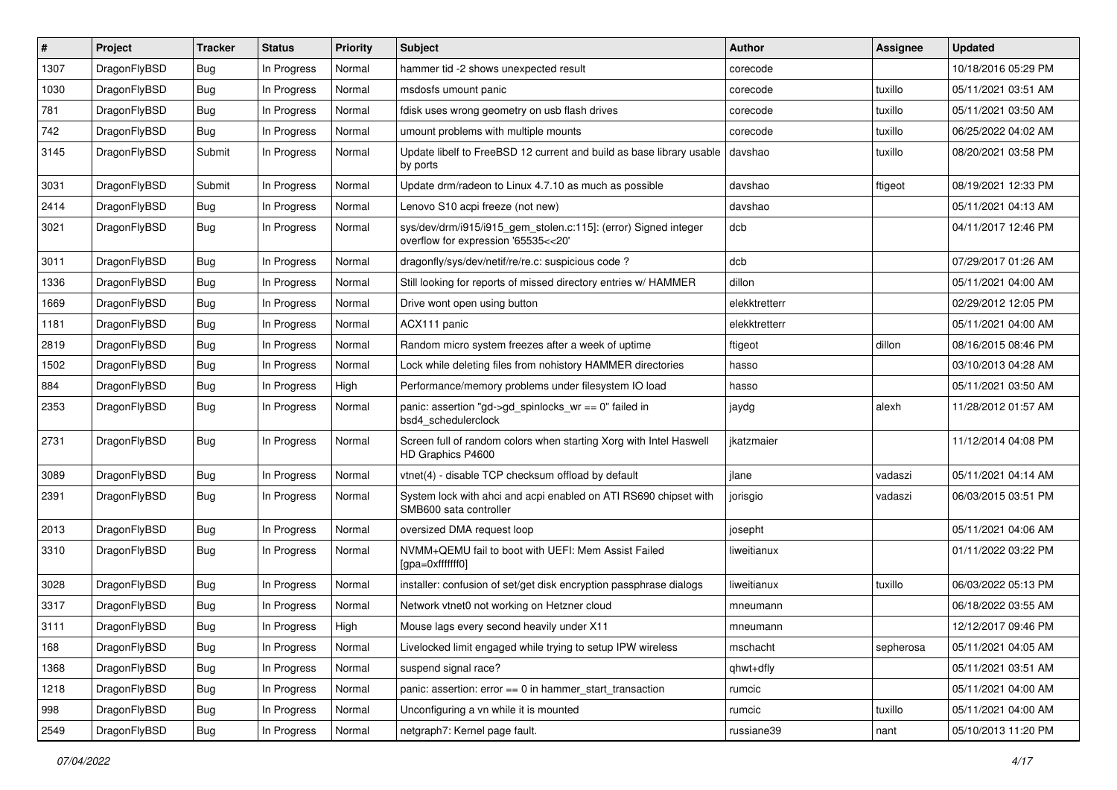| #    | Project      | <b>Tracker</b> | <b>Status</b> | <b>Priority</b> | <b>Subject</b>                                                                                         | Author        | Assignee  | <b>Updated</b>      |
|------|--------------|----------------|---------------|-----------------|--------------------------------------------------------------------------------------------------------|---------------|-----------|---------------------|
| 1307 | DragonFlyBSD | <b>Bug</b>     | In Progress   | Normal          | hammer tid -2 shows unexpected result                                                                  | corecode      |           | 10/18/2016 05:29 PM |
| 1030 | DragonFlyBSD | <b>Bug</b>     | In Progress   | Normal          | msdosfs umount panic                                                                                   | corecode      | tuxillo   | 05/11/2021 03:51 AM |
| 781  | DragonFlyBSD | <b>Bug</b>     | In Progress   | Normal          | fdisk uses wrong geometry on usb flash drives                                                          | corecode      | tuxillo   | 05/11/2021 03:50 AM |
| 742  | DragonFlyBSD | Bug            | In Progress   | Normal          | umount problems with multiple mounts                                                                   | corecode      | tuxillo   | 06/25/2022 04:02 AM |
| 3145 | DragonFlyBSD | Submit         | In Progress   | Normal          | Update libelf to FreeBSD 12 current and build as base library usable<br>by ports                       | davshao       | tuxillo   | 08/20/2021 03:58 PM |
| 3031 | DragonFlyBSD | Submit         | In Progress   | Normal          | Update drm/radeon to Linux 4.7.10 as much as possible                                                  | davshao       | ftigeot   | 08/19/2021 12:33 PM |
| 2414 | DragonFlyBSD | <b>Bug</b>     | In Progress   | Normal          | Lenovo S10 acpi freeze (not new)                                                                       | davshao       |           | 05/11/2021 04:13 AM |
| 3021 | DragonFlyBSD | Bug            | In Progress   | Normal          | sys/dev/drm/i915/i915_gem_stolen.c:115]: (error) Signed integer<br>overflow for expression '65535<<20' | dcb           |           | 04/11/2017 12:46 PM |
| 3011 | DragonFlyBSD | <b>Bug</b>     | In Progress   | Normal          | dragonfly/sys/dev/netif/re/re.c: suspicious code?                                                      | dcb           |           | 07/29/2017 01:26 AM |
| 1336 | DragonFlyBSD | Bug            | In Progress   | Normal          | Still looking for reports of missed directory entries w/ HAMMER                                        | dillon        |           | 05/11/2021 04:00 AM |
| 1669 | DragonFlyBSD | <b>Bug</b>     | In Progress   | Normal          | Drive wont open using button                                                                           | elekktretterr |           | 02/29/2012 12:05 PM |
| 1181 | DragonFlyBSD | <b>Bug</b>     | In Progress   | Normal          | ACX111 panic                                                                                           | elekktretterr |           | 05/11/2021 04:00 AM |
| 2819 | DragonFlyBSD | Bug            | In Progress   | Normal          | Random micro system freezes after a week of uptime                                                     | ftigeot       | dillon    | 08/16/2015 08:46 PM |
| 1502 | DragonFlyBSD | <b>Bug</b>     | In Progress   | Normal          | Lock while deleting files from nohistory HAMMER directories                                            | hasso         |           | 03/10/2013 04:28 AM |
| 884  | DragonFlyBSD | Bug            | In Progress   | High            | Performance/memory problems under filesystem IO load                                                   | hasso         |           | 05/11/2021 03:50 AM |
| 2353 | DragonFlyBSD | Bug            | In Progress   | Normal          | panic: assertion "gd->gd_spinlocks_wr == 0" failed in<br>bsd4 schedulerclock                           | jaydg         | alexh     | 11/28/2012 01:57 AM |
| 2731 | DragonFlyBSD | Bug            | In Progress   | Normal          | Screen full of random colors when starting Xorg with Intel Haswell<br>HD Graphics P4600                | jkatzmaier    |           | 11/12/2014 04:08 PM |
| 3089 | DragonFlyBSD | <b>Bug</b>     | In Progress   | Normal          | vtnet(4) - disable TCP checksum offload by default                                                     | jlane         | vadaszi   | 05/11/2021 04:14 AM |
| 2391 | DragonFlyBSD | <b>Bug</b>     | In Progress   | Normal          | System lock with ahci and acpi enabled on ATI RS690 chipset with<br>SMB600 sata controller             | jorisgio      | vadaszi   | 06/03/2015 03:51 PM |
| 2013 | DragonFlyBSD | <b>Bug</b>     | In Progress   | Normal          | oversized DMA request loop                                                                             | josepht       |           | 05/11/2021 04:06 AM |
| 3310 | DragonFlyBSD | Bug            | In Progress   | Normal          | NVMM+QEMU fail to boot with UEFI: Mem Assist Failed<br>[gpa=0xfffffff0]                                | liweitianux   |           | 01/11/2022 03:22 PM |
| 3028 | DragonFlyBSD | Bug            | In Progress   | Normal          | installer: confusion of set/get disk encryption passphrase dialogs                                     | liweitianux   | tuxillo   | 06/03/2022 05:13 PM |
| 3317 | DragonFlyBSD | <b>Bug</b>     | In Progress   | Normal          | Network vtnet0 not working on Hetzner cloud                                                            | mneumann      |           | 06/18/2022 03:55 AM |
| 3111 | DragonFlyBSD | Bug            | In Progress   | High            | Mouse lags every second heavily under X11                                                              | mneumann      |           | 12/12/2017 09:46 PM |
| 168  | DragonFlyBSD | Bug            | In Progress   | Normal          | Livelocked limit engaged while trying to setup IPW wireless                                            | mschacht      | sepherosa | 05/11/2021 04:05 AM |
| 1368 | DragonFlyBSD | <b>Bug</b>     | In Progress   | Normal          | suspend signal race?                                                                                   | qhwt+dfly     |           | 05/11/2021 03:51 AM |
| 1218 | DragonFlyBSD | <b>Bug</b>     | In Progress   | Normal          | panic: assertion: error == 0 in hammer_start_transaction                                               | rumcic        |           | 05/11/2021 04:00 AM |
| 998  | DragonFlyBSD | Bug            | In Progress   | Normal          | Unconfiguring a vn while it is mounted                                                                 | rumcic        | tuxillo   | 05/11/2021 04:00 AM |
| 2549 | DragonFlyBSD | <b>Bug</b>     | In Progress   | Normal          | netgraph7: Kernel page fault.                                                                          | russiane39    | nant      | 05/10/2013 11:20 PM |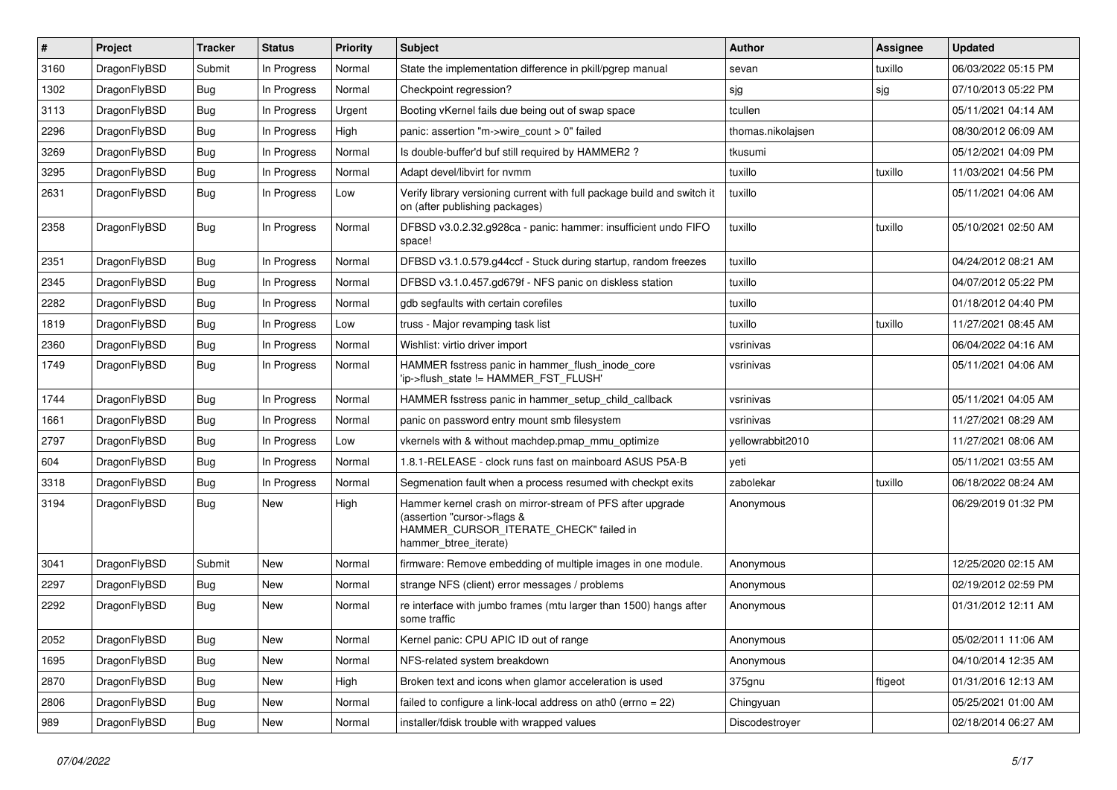| $\vert$ # | Project      | <b>Tracker</b> | <b>Status</b> | <b>Priority</b> | <b>Subject</b>                                                                                                                                              | Author            | Assignee | <b>Updated</b>      |
|-----------|--------------|----------------|---------------|-----------------|-------------------------------------------------------------------------------------------------------------------------------------------------------------|-------------------|----------|---------------------|
| 3160      | DragonFlyBSD | Submit         | In Progress   | Normal          | State the implementation difference in pkill/pgrep manual                                                                                                   | sevan             | tuxillo  | 06/03/2022 05:15 PM |
| 1302      | DragonFlyBSD | <b>Bug</b>     | In Progress   | Normal          | Checkpoint regression?                                                                                                                                      | sjg               | sjg      | 07/10/2013 05:22 PM |
| 3113      | DragonFlyBSD | <b>Bug</b>     | In Progress   | Urgent          | Booting vKernel fails due being out of swap space                                                                                                           | tcullen           |          | 05/11/2021 04:14 AM |
| 2296      | DragonFlyBSD | Bug            | In Progress   | High            | panic: assertion "m->wire count > 0" failed                                                                                                                 | thomas.nikolajsen |          | 08/30/2012 06:09 AM |
| 3269      | DragonFlyBSD | <b>Bug</b>     | In Progress   | Normal          | Is double-buffer'd buf still required by HAMMER2 ?                                                                                                          | tkusumi           |          | 05/12/2021 04:09 PM |
| 3295      | DragonFlyBSD | <b>Bug</b>     | In Progress   | Normal          | Adapt devel/libvirt for nvmm                                                                                                                                | tuxillo           | tuxillo  | 11/03/2021 04:56 PM |
| 2631      | DragonFlyBSD | Bug            | In Progress   | Low             | Verify library versioning current with full package build and switch it<br>on (after publishing packages)                                                   | tuxillo           |          | 05/11/2021 04:06 AM |
| 2358      | DragonFlyBSD | Bug            | In Progress   | Normal          | DFBSD v3.0.2.32.g928ca - panic: hammer: insufficient undo FIFO<br>space!                                                                                    | tuxillo           | tuxillo  | 05/10/2021 02:50 AM |
| 2351      | DragonFlyBSD | <b>Bug</b>     | In Progress   | Normal          | DFBSD v3.1.0.579.g44ccf - Stuck during startup, random freezes                                                                                              | tuxillo           |          | 04/24/2012 08:21 AM |
| 2345      | DragonFlyBSD | Bug            | In Progress   | Normal          | DFBSD v3.1.0.457.gd679f - NFS panic on diskless station                                                                                                     | tuxillo           |          | 04/07/2012 05:22 PM |
| 2282      | DragonFlyBSD | <b>Bug</b>     | In Progress   | Normal          | gdb segfaults with certain corefiles                                                                                                                        | tuxillo           |          | 01/18/2012 04:40 PM |
| 1819      | DragonFlyBSD | Bug            | In Progress   | Low             | truss - Major revamping task list                                                                                                                           | tuxillo           | tuxillo  | 11/27/2021 08:45 AM |
| 2360      | DragonFlyBSD | Bug            | In Progress   | Normal          | Wishlist: virtio driver import                                                                                                                              | vsrinivas         |          | 06/04/2022 04:16 AM |
| 1749      | DragonFlyBSD | <b>Bug</b>     | In Progress   | Normal          | HAMMER fsstress panic in hammer flush inode core<br>'ip->flush state != HAMMER FST FLUSH'                                                                   | vsrinivas         |          | 05/11/2021 04:06 AM |
| 1744      | DragonFlyBSD | <b>Bug</b>     | In Progress   | Normal          | HAMMER fsstress panic in hammer_setup_child_callback                                                                                                        | vsrinivas         |          | 05/11/2021 04:05 AM |
| 1661      | DragonFlyBSD | <b>Bug</b>     | In Progress   | Normal          | panic on password entry mount smb filesystem                                                                                                                | vsrinivas         |          | 11/27/2021 08:29 AM |
| 2797      | DragonFlyBSD | Bug            | In Progress   | Low             | vkernels with & without machdep.pmap_mmu_optimize                                                                                                           | yellowrabbit2010  |          | 11/27/2021 08:06 AM |
| 604       | DragonFlyBSD | <b>Bug</b>     | In Progress   | Normal          | 1.8.1-RELEASE - clock runs fast on mainboard ASUS P5A-B                                                                                                     | yeti              |          | 05/11/2021 03:55 AM |
| 3318      | DragonFlyBSD | <b>Bug</b>     | In Progress   | Normal          | Segmenation fault when a process resumed with checkpt exits                                                                                                 | zabolekar         | tuxillo  | 06/18/2022 08:24 AM |
| 3194      | DragonFlyBSD | Bug            | New           | High            | Hammer kernel crash on mirror-stream of PFS after upgrade<br>(assertion "cursor->flags &<br>HAMMER_CURSOR_ITERATE_CHECK" failed in<br>hammer_btree_iterate) | Anonymous         |          | 06/29/2019 01:32 PM |
| 3041      | DragonFlyBSD | Submit         | <b>New</b>    | Normal          | firmware: Remove embedding of multiple images in one module.                                                                                                | Anonymous         |          | 12/25/2020 02:15 AM |
| 2297      | DragonFlyBSD | Bug            | <b>New</b>    | Normal          | strange NFS (client) error messages / problems                                                                                                              | Anonymous         |          | 02/19/2012 02:59 PM |
| 2292      | DragonFlyBSD | <b>Bug</b>     | <b>New</b>    | Normal          | re interface with jumbo frames (mtu larger than 1500) hangs after<br>some traffic                                                                           | Anonymous         |          | 01/31/2012 12:11 AM |
| 2052      | DragonFlyBSD | <b>Bug</b>     | New           | Normal          | Kernel panic: CPU APIC ID out of range                                                                                                                      | Anonymous         |          | 05/02/2011 11:06 AM |
| 1695      | DragonFlyBSD | <b>Bug</b>     | New           | Normal          | NFS-related system breakdown                                                                                                                                | Anonymous         |          | 04/10/2014 12:35 AM |
| 2870      | DragonFlyBSD | <b>Bug</b>     | New           | High            | Broken text and icons when glamor acceleration is used                                                                                                      | 375gnu            | ftigeot  | 01/31/2016 12:13 AM |
| 2806      | DragonFlyBSD | <b>Bug</b>     | New           | Normal          | failed to configure a link-local address on ath0 (errno $= 22$ )                                                                                            | Chingyuan         |          | 05/25/2021 01:00 AM |
| 989       | DragonFlyBSD | <b>Bug</b>     | New           | Normal          | installer/fdisk trouble with wrapped values                                                                                                                 | Discodestroyer    |          | 02/18/2014 06:27 AM |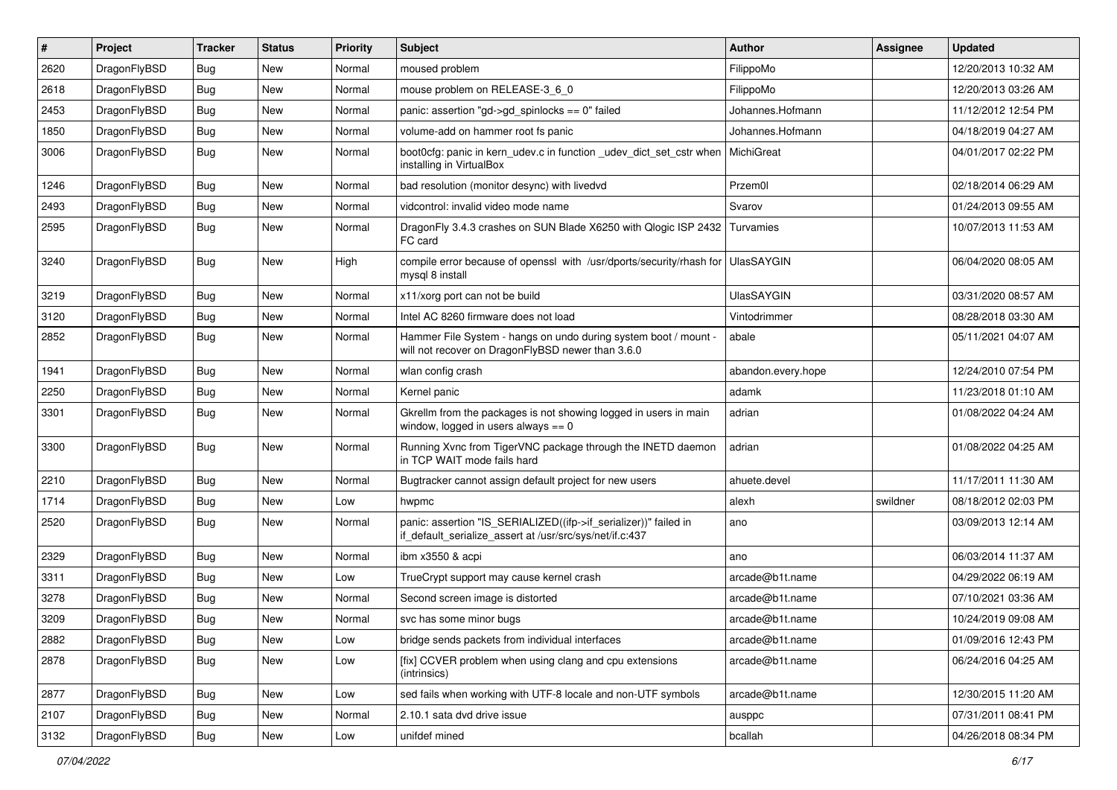| #    | Project      | <b>Tracker</b> | <b>Status</b> | <b>Priority</b> | Subject                                                                                                                      | Author             | Assignee | <b>Updated</b>      |
|------|--------------|----------------|---------------|-----------------|------------------------------------------------------------------------------------------------------------------------------|--------------------|----------|---------------------|
| 2620 | DragonFlyBSD | <b>Bug</b>     | New           | Normal          | moused problem                                                                                                               | FilippoMo          |          | 12/20/2013 10:32 AM |
| 2618 | DragonFlyBSD | <b>Bug</b>     | New           | Normal          | mouse problem on RELEASE-3_6_0                                                                                               | FilippoMo          |          | 12/20/2013 03:26 AM |
| 2453 | DragonFlyBSD | <b>Bug</b>     | New           | Normal          | panic: assertion "gd->gd_spinlocks == 0" failed                                                                              | Johannes.Hofmann   |          | 11/12/2012 12:54 PM |
| 1850 | DragonFlyBSD | <b>Bug</b>     | New           | Normal          | volume-add on hammer root fs panic                                                                                           | Johannes.Hofmann   |          | 04/18/2019 04:27 AM |
| 3006 | DragonFlyBSD | <b>Bug</b>     | New           | Normal          | boot0cfg: panic in kern_udev.c in function _udev_dict_set_cstr when<br>installing in VirtualBox                              | MichiGreat         |          | 04/01/2017 02:22 PM |
| 1246 | DragonFlyBSD | <b>Bug</b>     | <b>New</b>    | Normal          | bad resolution (monitor desync) with livedvd                                                                                 | Przem0l            |          | 02/18/2014 06:29 AM |
| 2493 | DragonFlyBSD | <b>Bug</b>     | <b>New</b>    | Normal          | vidcontrol: invalid video mode name                                                                                          | Svarov             |          | 01/24/2013 09:55 AM |
| 2595 | DragonFlyBSD | <b>Bug</b>     | New           | Normal          | DragonFly 3.4.3 crashes on SUN Blade X6250 with Qlogic ISP 2432<br>FC card                                                   | Turvamies          |          | 10/07/2013 11:53 AM |
| 3240 | DragonFlyBSD | <b>Bug</b>     | New           | High            | compile error because of openssl with /usr/dports/security/rhash for<br>mysql 8 install                                      | <b>UlasSAYGIN</b>  |          | 06/04/2020 08:05 AM |
| 3219 | DragonFlyBSD | <b>Bug</b>     | New           | Normal          | x11/xorg port can not be build                                                                                               | <b>UlasSAYGIN</b>  |          | 03/31/2020 08:57 AM |
| 3120 | DragonFlyBSD | <b>Bug</b>     | New           | Normal          | Intel AC 8260 firmware does not load                                                                                         | Vintodrimmer       |          | 08/28/2018 03:30 AM |
| 2852 | DragonFlyBSD | Bug            | New           | Normal          | Hammer File System - hangs on undo during system boot / mount -<br>will not recover on DragonFlyBSD newer than 3.6.0         | abale              |          | 05/11/2021 04:07 AM |
| 1941 | DragonFlyBSD | <b>Bug</b>     | New           | Normal          | wlan config crash                                                                                                            | abandon.every.hope |          | 12/24/2010 07:54 PM |
| 2250 | DragonFlyBSD | <b>Bug</b>     | New           | Normal          | Kernel panic                                                                                                                 | adamk              |          | 11/23/2018 01:10 AM |
| 3301 | DragonFlyBSD | <b>Bug</b>     | <b>New</b>    | Normal          | Gkrellm from the packages is not showing logged in users in main<br>window, logged in users always $== 0$                    | adrian             |          | 01/08/2022 04:24 AM |
| 3300 | DragonFlyBSD | <b>Bug</b>     | New           | Normal          | Running Xvnc from TigerVNC package through the INETD daemon<br>in TCP WAIT mode fails hard                                   | adrian             |          | 01/08/2022 04:25 AM |
| 2210 | DragonFlyBSD | <b>Bug</b>     | <b>New</b>    | Normal          | Bugtracker cannot assign default project for new users                                                                       | ahuete.devel       |          | 11/17/2011 11:30 AM |
| 1714 | DragonFlyBSD | <b>Bug</b>     | New           | Low             | hwpmc                                                                                                                        | alexh              | swildner | 08/18/2012 02:03 PM |
| 2520 | DragonFlyBSD | <b>Bug</b>     | <b>New</b>    | Normal          | panic: assertion "IS_SERIALIZED((ifp->if_serializer))" failed in<br>if_default_serialize_assert at /usr/src/sys/net/if.c:437 | ano                |          | 03/09/2013 12:14 AM |
| 2329 | DragonFlyBSD | <b>Bug</b>     | <b>New</b>    | Normal          | ibm x3550 & acpi                                                                                                             | ano                |          | 06/03/2014 11:37 AM |
| 3311 | DragonFlyBSD | <b>Bug</b>     | <b>New</b>    | Low             | TrueCrypt support may cause kernel crash                                                                                     | arcade@b1t.name    |          | 04/29/2022 06:19 AM |
| 3278 | DragonFlyBSD | <b>Bug</b>     | New           | Normal          | Second screen image is distorted                                                                                             | arcade@b1t.name    |          | 07/10/2021 03:36 AM |
| 3209 | DragonFlyBSD | <b>Bug</b>     | New           | Normal          | svc has some minor bugs                                                                                                      | arcade@b1t.name    |          | 10/24/2019 09:08 AM |
| 2882 | DragonFlyBSD | <b>Bug</b>     | New           | Low             | bridge sends packets from individual interfaces                                                                              | arcade@b1t.name    |          | 01/09/2016 12:43 PM |
| 2878 | DragonFlyBSD | <b>Bug</b>     | New           | Low             | [fix] CCVER problem when using clang and cpu extensions<br>(intrinsics)                                                      | arcade@b1t.name    |          | 06/24/2016 04:25 AM |
| 2877 | DragonFlyBSD | <b>Bug</b>     | New           | Low             | sed fails when working with UTF-8 locale and non-UTF symbols                                                                 | arcade@b1t.name    |          | 12/30/2015 11:20 AM |
| 2107 | DragonFlyBSD | <b>Bug</b>     | New           | Normal          | 2.10.1 sata dvd drive issue                                                                                                  | ausppc             |          | 07/31/2011 08:41 PM |
| 3132 | DragonFlyBSD | Bug            | New           | Low             | unifdef mined                                                                                                                | bcallah            |          | 04/26/2018 08:34 PM |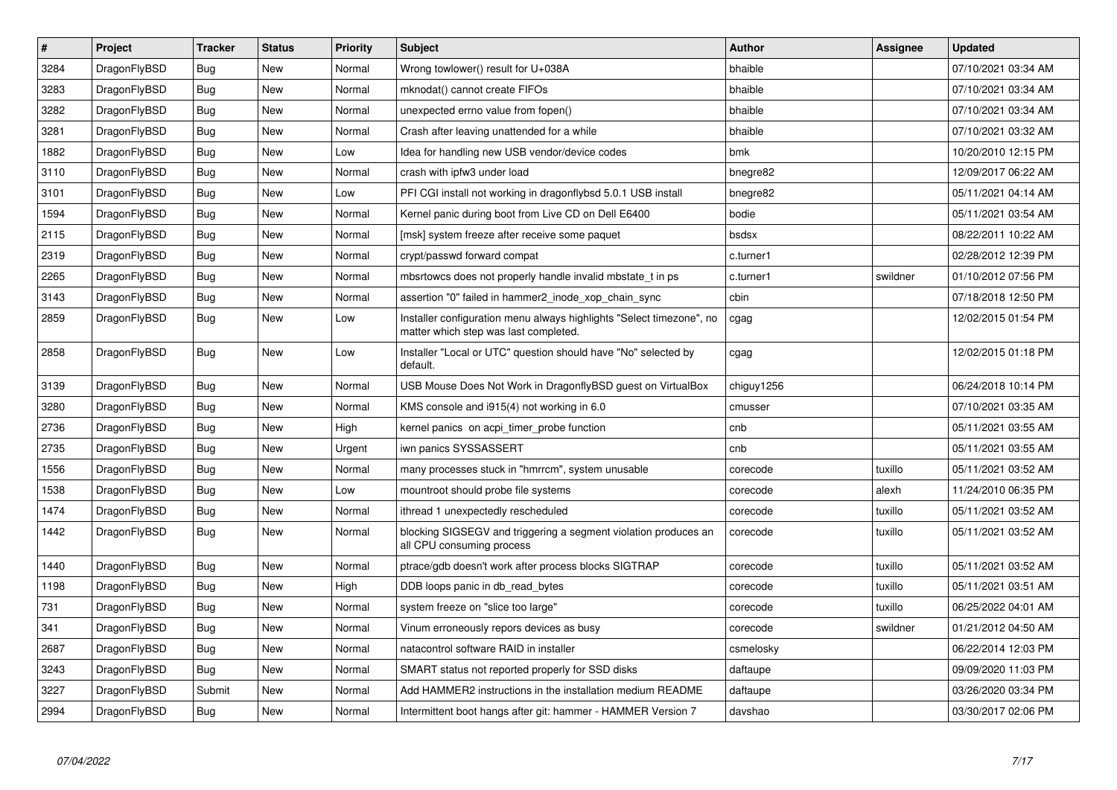| $\vert$ # | Project      | <b>Tracker</b> | <b>Status</b> | Priority | <b>Subject</b>                                                                                                | Author     | Assignee | <b>Updated</b>      |
|-----------|--------------|----------------|---------------|----------|---------------------------------------------------------------------------------------------------------------|------------|----------|---------------------|
| 3284      | DragonFlyBSD | <b>Bug</b>     | New           | Normal   | Wrong towlower() result for U+038A                                                                            | bhaible    |          | 07/10/2021 03:34 AM |
| 3283      | DragonFlyBSD | <b>Bug</b>     | <b>New</b>    | Normal   | mknodat() cannot create FIFOs                                                                                 | bhaible    |          | 07/10/2021 03:34 AM |
| 3282      | DragonFlyBSD | <b>Bug</b>     | <b>New</b>    | Normal   | unexpected errno value from fopen()                                                                           | bhaible    |          | 07/10/2021 03:34 AM |
| 3281      | DragonFlyBSD | Bug            | New           | Normal   | Crash after leaving unattended for a while                                                                    | bhaible    |          | 07/10/2021 03:32 AM |
| 1882      | DragonFlyBSD | <b>Bug</b>     | <b>New</b>    | Low      | Idea for handling new USB vendor/device codes                                                                 | bmk        |          | 10/20/2010 12:15 PM |
| 3110      | DragonFlyBSD | <b>Bug</b>     | <b>New</b>    | Normal   | crash with ipfw3 under load                                                                                   | bnegre82   |          | 12/09/2017 06:22 AM |
| 3101      | DragonFlyBSD | Bug            | <b>New</b>    | Low      | PFI CGI install not working in dragonflybsd 5.0.1 USB install                                                 | bnegre82   |          | 05/11/2021 04:14 AM |
| 1594      | DragonFlyBSD | <b>Bug</b>     | New           | Normal   | Kernel panic during boot from Live CD on Dell E6400                                                           | bodie      |          | 05/11/2021 03:54 AM |
| 2115      | DragonFlyBSD | Bug            | New           | Normal   | [msk] system freeze after receive some paquet                                                                 | bsdsx      |          | 08/22/2011 10:22 AM |
| 2319      | DragonFlyBSD | <b>Bug</b>     | <b>New</b>    | Normal   | crypt/passwd forward compat                                                                                   | c.turner1  |          | 02/28/2012 12:39 PM |
| 2265      | DragonFlyBSD | <b>Bug</b>     | <b>New</b>    | Normal   | mbsrtowcs does not properly handle invalid mbstate t in ps.                                                   | c.turner1  | swildner | 01/10/2012 07:56 PM |
| 3143      | DragonFlyBSD | <b>Bug</b>     | New           | Normal   | assertion "0" failed in hammer2_inode_xop_chain_sync                                                          | cbin       |          | 07/18/2018 12:50 PM |
| 2859      | DragonFlyBSD | Bug            | New           | Low      | Installer configuration menu always highlights "Select timezone", no<br>matter which step was last completed. | cgag       |          | 12/02/2015 01:54 PM |
| 2858      | DragonFlyBSD | <b>Bug</b>     | New           | Low      | Installer "Local or UTC" question should have "No" selected by<br>default.                                    | cgag       |          | 12/02/2015 01:18 PM |
| 3139      | DragonFlyBSD | Bug            | <b>New</b>    | Normal   | USB Mouse Does Not Work in DragonflyBSD guest on VirtualBox                                                   | chiguy1256 |          | 06/24/2018 10:14 PM |
| 3280      | DragonFlyBSD | <b>Bug</b>     | <b>New</b>    | Normal   | KMS console and i915(4) not working in 6.0                                                                    | cmusser    |          | 07/10/2021 03:35 AM |
| 2736      | DragonFlyBSD | Bug            | <b>New</b>    | High     | kernel panics on acpi timer probe function                                                                    | cnb        |          | 05/11/2021 03:55 AM |
| 2735      | DragonFlyBSD | <b>Bug</b>     | New           | Urgent   | iwn panics SYSSASSERT                                                                                         | cnb        |          | 05/11/2021 03:55 AM |
| 1556      | DragonFlyBSD | Bug            | New           | Normal   | many processes stuck in "hmrrcm", system unusable                                                             | corecode   | tuxillo  | 05/11/2021 03:52 AM |
| 1538      | DragonFlyBSD | <b>Bug</b>     | New           | Low      | mountroot should probe file systems                                                                           | corecode   | alexh    | 11/24/2010 06:35 PM |
| 1474      | DragonFlyBSD | Bug            | New           | Normal   | ithread 1 unexpectedly rescheduled                                                                            | corecode   | tuxillo  | 05/11/2021 03:52 AM |
| 1442      | DragonFlyBSD | <b>Bug</b>     | New           | Normal   | blocking SIGSEGV and triggering a segment violation produces an<br>all CPU consuming process                  | corecode   | tuxillo  | 05/11/2021 03:52 AM |
| 1440      | DragonFlyBSD | <b>Bug</b>     | New           | Normal   | ptrace/gdb doesn't work after process blocks SIGTRAP                                                          | corecode   | tuxillo  | 05/11/2021 03:52 AM |
| 1198      | DragonFlyBSD | <b>Bug</b>     | New           | High     | DDB loops panic in db_read_bytes                                                                              | corecode   | tuxillo  | 05/11/2021 03:51 AM |
| 731       | DragonFlyBSD | Bug            | New           | Normal   | system freeze on "slice too large"                                                                            | corecode   | tuxillo  | 06/25/2022 04:01 AM |
| 341       | DragonFlyBSD | <b>Bug</b>     | <b>New</b>    | Normal   | Vinum erroneously repors devices as busy                                                                      | corecode   | swildner | 01/21/2012 04:50 AM |
| 2687      | DragonFlyBSD | Bug            | <b>New</b>    | Normal   | natacontrol software RAID in installer                                                                        | csmelosky  |          | 06/22/2014 12:03 PM |
| 3243      | DragonFlyBSD | Bug            | New           | Normal   | SMART status not reported properly for SSD disks                                                              | daftaupe   |          | 09/09/2020 11:03 PM |
| 3227      | DragonFlyBSD | Submit         | <b>New</b>    | Normal   | Add HAMMER2 instructions in the installation medium README                                                    | daftaupe   |          | 03/26/2020 03:34 PM |
| 2994      | DragonFlyBSD | <b>Bug</b>     | <b>New</b>    | Normal   | Intermittent boot hangs after git: hammer - HAMMER Version 7                                                  | davshao    |          | 03/30/2017 02:06 PM |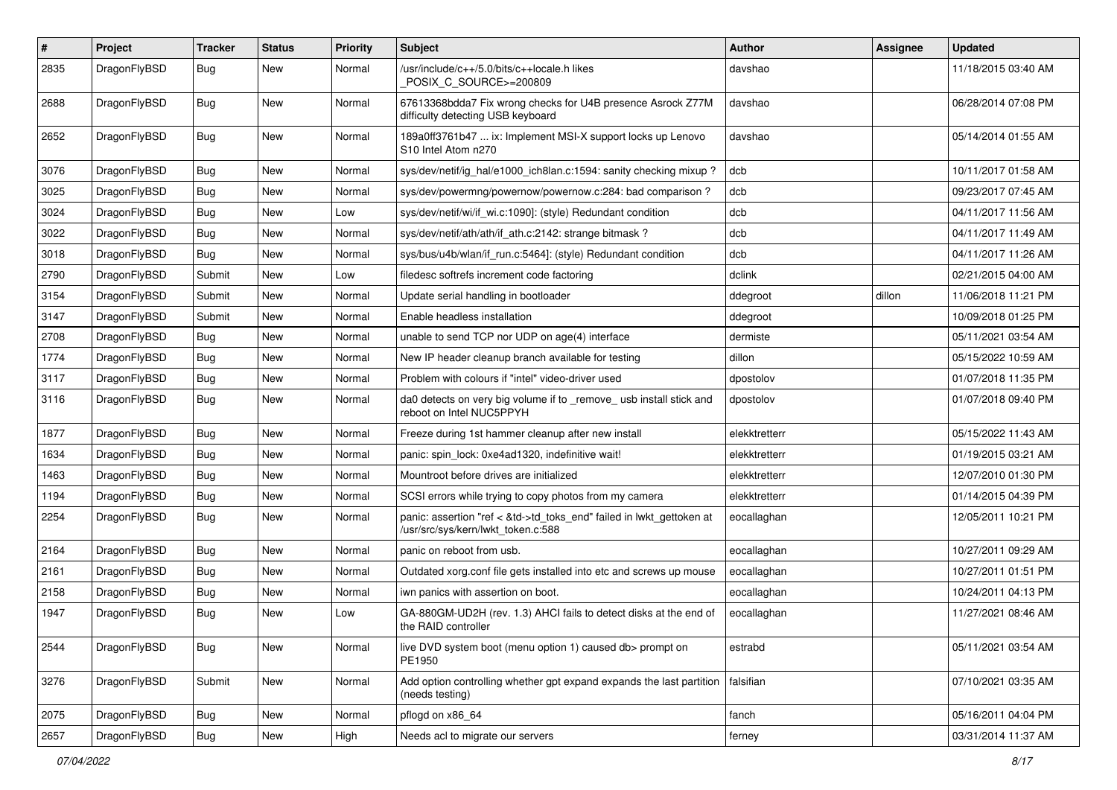| $\vert$ # | Project      | <b>Tracker</b> | <b>Status</b> | <b>Priority</b> | <b>Subject</b>                                                                                             | Author        | <b>Assignee</b> | <b>Updated</b>      |
|-----------|--------------|----------------|---------------|-----------------|------------------------------------------------------------------------------------------------------------|---------------|-----------------|---------------------|
| 2835      | DragonFlyBSD | Bug            | New           | Normal          | /usr/include/c++/5.0/bits/c++locale.h likes<br>POSIX C_SOURCE>=200809                                      | davshao       |                 | 11/18/2015 03:40 AM |
| 2688      | DragonFlyBSD | Bug            | New           | Normal          | 67613368bdda7 Fix wrong checks for U4B presence Asrock Z77M<br>difficulty detecting USB keyboard           | davshao       |                 | 06/28/2014 07:08 PM |
| 2652      | DragonFlyBSD | Bug            | New           | Normal          | 189a0ff3761b47  ix: Implement MSI-X support locks up Lenovo<br>S10 Intel Atom n270                         | davshao       |                 | 05/14/2014 01:55 AM |
| 3076      | DragonFlyBSD | Bug            | <b>New</b>    | Normal          | sys/dev/netif/ig_hal/e1000_ich8lan.c:1594: sanity checking mixup?                                          | dcb           |                 | 10/11/2017 01:58 AM |
| 3025      | DragonFlyBSD | <b>Bug</b>     | New           | Normal          | sys/dev/powermng/powernow/powernow.c:284: bad comparison?                                                  | dcb           |                 | 09/23/2017 07:45 AM |
| 3024      | DragonFlyBSD | <b>Bug</b>     | <b>New</b>    | Low             | sys/dev/netif/wi/if_wi.c:1090]: (style) Redundant condition                                                | dcb           |                 | 04/11/2017 11:56 AM |
| 3022      | DragonFlyBSD | <b>Bug</b>     | <b>New</b>    | Normal          | sys/dev/netif/ath/ath/if_ath.c:2142: strange bitmask?                                                      | dcb           |                 | 04/11/2017 11:49 AM |
| 3018      | DragonFlyBSD | <b>Bug</b>     | New           | Normal          | sys/bus/u4b/wlan/if run.c:5464]: (style) Redundant condition                                               | dcb           |                 | 04/11/2017 11:26 AM |
| 2790      | DragonFlyBSD | Submit         | <b>New</b>    | Low             | filedesc softrefs increment code factoring                                                                 | dclink        |                 | 02/21/2015 04:00 AM |
| 3154      | DragonFlyBSD | Submit         | New           | Normal          | Update serial handling in bootloader                                                                       | ddegroot      | dillon          | 11/06/2018 11:21 PM |
| 3147      | DragonFlyBSD | Submit         | New           | Normal          | Enable headless installation                                                                               | ddegroot      |                 | 10/09/2018 01:25 PM |
| 2708      | DragonFlyBSD | Bug            | <b>New</b>    | Normal          | unable to send TCP nor UDP on age(4) interface                                                             | dermiste      |                 | 05/11/2021 03:54 AM |
| 1774      | DragonFlyBSD | Bug            | New           | Normal          | New IP header cleanup branch available for testing                                                         | dillon        |                 | 05/15/2022 10:59 AM |
| 3117      | DragonFlyBSD | Bug            | New           | Normal          | Problem with colours if "intel" video-driver used                                                          | dpostolov     |                 | 01/07/2018 11:35 PM |
| 3116      | DragonFlyBSD | Bug            | New           | Normal          | da0 detects on very big volume if to _remove_ usb install stick and<br>reboot on Intel NUC5PPYH            | dpostolov     |                 | 01/07/2018 09:40 PM |
| 1877      | DragonFlyBSD | Bug            | <b>New</b>    | Normal          | Freeze during 1st hammer cleanup after new install                                                         | elekktretterr |                 | 05/15/2022 11:43 AM |
| 1634      | DragonFlyBSD | <b>Bug</b>     | New           | Normal          | panic: spin lock: 0xe4ad1320, indefinitive wait!                                                           | elekktretterr |                 | 01/19/2015 03:21 AM |
| 1463      | DragonFlyBSD | Bug            | <b>New</b>    | Normal          | Mountroot before drives are initialized                                                                    | elekktretterr |                 | 12/07/2010 01:30 PM |
| 1194      | DragonFlyBSD | <b>Bug</b>     | <b>New</b>    | Normal          | SCSI errors while trying to copy photos from my camera                                                     | elekktretterr |                 | 01/14/2015 04:39 PM |
| 2254      | DragonFlyBSD | Bug            | <b>New</b>    | Normal          | panic: assertion "ref < &td->td_toks_end" failed in lwkt_gettoken at<br>/usr/src/sys/kern/lwkt_token.c:588 | eocallaghan   |                 | 12/05/2011 10:21 PM |
| 2164      | DragonFlyBSD | <b>Bug</b>     | <b>New</b>    | Normal          | panic on reboot from usb.                                                                                  | eocallaghan   |                 | 10/27/2011 09:29 AM |
| 2161      | DragonFlyBSD | <b>Bug</b>     | New           | Normal          | Outdated xorg.conf file gets installed into etc and screws up mouse                                        | eocallaghan   |                 | 10/27/2011 01:51 PM |
| 2158      | DragonFlyBSD | Bug            | <b>New</b>    | Normal          | iwn panics with assertion on boot.                                                                         | eocallaghan   |                 | 10/24/2011 04:13 PM |
| 1947      | DragonFlyBSD | Bug            | New           | Low             | GA-880GM-UD2H (rev. 1.3) AHCI fails to detect disks at the end of<br>the RAID controller                   | eocallaghan   |                 | 11/27/2021 08:46 AM |
| 2544      | DragonFlyBSD | Bug            | New           | Normal          | live DVD system boot (menu option 1) caused db> prompt on<br>PE1950                                        | estrabd       |                 | 05/11/2021 03:54 AM |
| 3276      | DragonFlyBSD | Submit         | New           | Normal          | Add option controlling whether gpt expand expands the last partition<br>(needs testing)                    | falsifian     |                 | 07/10/2021 03:35 AM |
| 2075      | DragonFlyBSD | Bug            | New           | Normal          | pflogd on x86_64                                                                                           | fanch         |                 | 05/16/2011 04:04 PM |
| 2657      | DragonFlyBSD | <b>Bug</b>     | New           | High            | Needs acl to migrate our servers                                                                           | ferney        |                 | 03/31/2014 11:37 AM |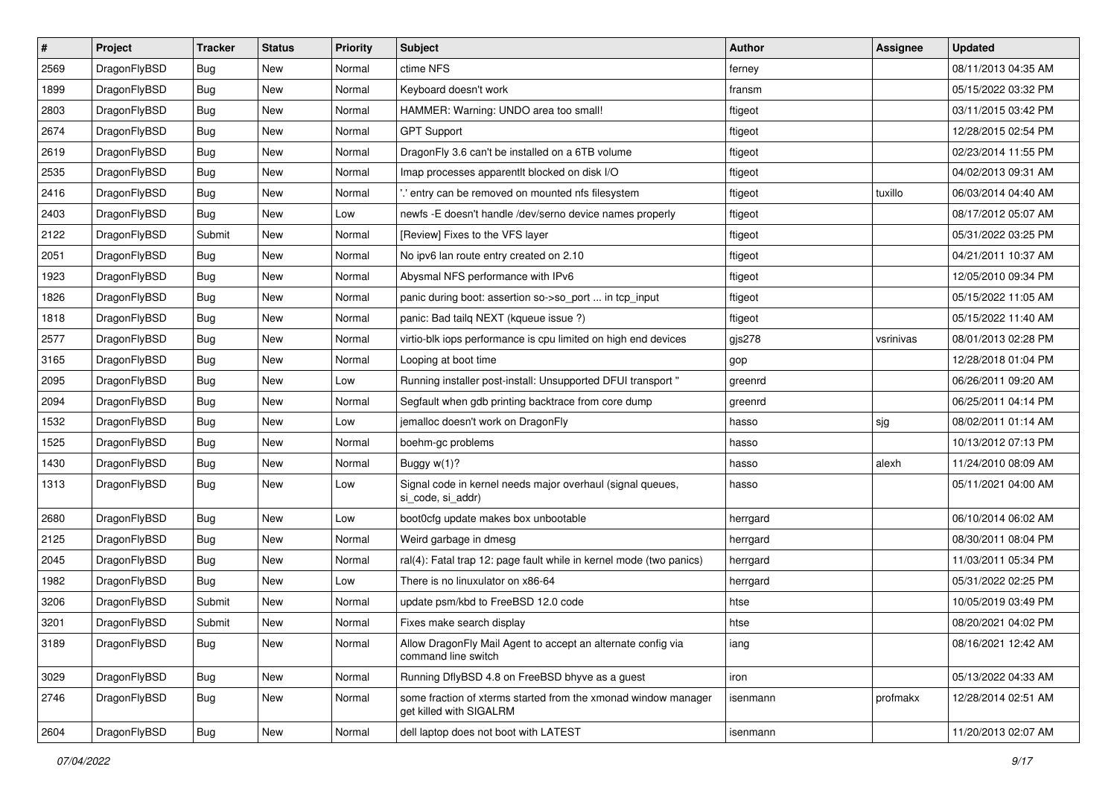| $\sharp$ | Project      | <b>Tracker</b> | <b>Status</b> | <b>Priority</b> | Subject                                                                                   | <b>Author</b> | <b>Assignee</b> | <b>Updated</b>      |
|----------|--------------|----------------|---------------|-----------------|-------------------------------------------------------------------------------------------|---------------|-----------------|---------------------|
| 2569     | DragonFlyBSD | <b>Bug</b>     | New           | Normal          | ctime NFS                                                                                 | ferney        |                 | 08/11/2013 04:35 AM |
| 1899     | DragonFlyBSD | <b>Bug</b>     | <b>New</b>    | Normal          | Keyboard doesn't work                                                                     | fransm        |                 | 05/15/2022 03:32 PM |
| 2803     | DragonFlyBSD | <b>Bug</b>     | <b>New</b>    | Normal          | HAMMER: Warning: UNDO area too small!                                                     | ftigeot       |                 | 03/11/2015 03:42 PM |
| 2674     | DragonFlyBSD | <b>Bug</b>     | New           | Normal          | <b>GPT Support</b>                                                                        | ftigeot       |                 | 12/28/2015 02:54 PM |
| 2619     | DragonFlyBSD | <b>Bug</b>     | <b>New</b>    | Normal          | DragonFly 3.6 can't be installed on a 6TB volume                                          | ftigeot       |                 | 02/23/2014 11:55 PM |
| 2535     | DragonFlyBSD | <b>Bug</b>     | <b>New</b>    | Normal          | Imap processes apparentlt blocked on disk I/O                                             | ftigeot       |                 | 04/02/2013 09:31 AM |
| 2416     | DragonFlyBSD | <b>Bug</b>     | New           | Normal          | ".' entry can be removed on mounted nfs filesystem                                        | ftigeot       | tuxillo         | 06/03/2014 04:40 AM |
| 2403     | DragonFlyBSD | <b>Bug</b>     | <b>New</b>    | Low             | newfs - E doesn't handle /dev/serno device names properly                                 | ftigeot       |                 | 08/17/2012 05:07 AM |
| 2122     | DragonFlyBSD | Submit         | <b>New</b>    | Normal          | [Review] Fixes to the VFS layer                                                           | ftigeot       |                 | 05/31/2022 03:25 PM |
| 2051     | DragonFlyBSD | <b>Bug</b>     | <b>New</b>    | Normal          | No ipv6 lan route entry created on 2.10                                                   | ftigeot       |                 | 04/21/2011 10:37 AM |
| 1923     | DragonFlyBSD | <b>Bug</b>     | New           | Normal          | Abysmal NFS performance with IPv6                                                         | ftigeot       |                 | 12/05/2010 09:34 PM |
| 1826     | DragonFlyBSD | <b>Bug</b>     | New           | Normal          | panic during boot: assertion so->so_port  in tcp_input                                    | ftigeot       |                 | 05/15/2022 11:05 AM |
| 1818     | DragonFlyBSD | <b>Bug</b>     | New           | Normal          | panic: Bad tailq NEXT (kqueue issue ?)                                                    | ftigeot       |                 | 05/15/2022 11:40 AM |
| 2577     | DragonFlyBSD | <b>Bug</b>     | <b>New</b>    | Normal          | virtio-blk iops performance is cpu limited on high end devices                            | gjs278        | vsrinivas       | 08/01/2013 02:28 PM |
| 3165     | DragonFlyBSD | <b>Bug</b>     | <b>New</b>    | Normal          | Looping at boot time                                                                      | gop           |                 | 12/28/2018 01:04 PM |
| 2095     | DragonFlyBSD | <b>Bug</b>     | <b>New</b>    | Low             | Running installer post-install: Unsupported DFUI transport "                              | greenrd       |                 | 06/26/2011 09:20 AM |
| 2094     | DragonFlyBSD | <b>Bug</b>     | New           | Normal          | Segfault when gdb printing backtrace from core dump                                       | greenrd       |                 | 06/25/2011 04:14 PM |
| 1532     | DragonFlyBSD | <b>Bug</b>     | <b>New</b>    | Low             | jemalloc doesn't work on DragonFly                                                        | hasso         | sjg             | 08/02/2011 01:14 AM |
| 1525     | DragonFlyBSD | <b>Bug</b>     | <b>New</b>    | Normal          | boehm-gc problems                                                                         | hasso         |                 | 10/13/2012 07:13 PM |
| 1430     | DragonFlyBSD | <b>Bug</b>     | New           | Normal          | Buggy w(1)?                                                                               | hasso         | alexh           | 11/24/2010 08:09 AM |
| 1313     | DragonFlyBSD | <b>Bug</b>     | <b>New</b>    | Low             | Signal code in kernel needs major overhaul (signal queues,<br>si_code, si_addr)           | hasso         |                 | 05/11/2021 04:00 AM |
| 2680     | DragonFlyBSD | <b>Bug</b>     | <b>New</b>    | Low             | boot0cfg update makes box unbootable                                                      | herrgard      |                 | 06/10/2014 06:02 AM |
| 2125     | DragonFlyBSD | Bug            | New           | Normal          | Weird garbage in dmesg                                                                    | herrgard      |                 | 08/30/2011 08:04 PM |
| 2045     | DragonFlyBSD | <b>Bug</b>     | <b>New</b>    | Normal          | ral(4): Fatal trap 12: page fault while in kernel mode (two panics)                       | herrgard      |                 | 11/03/2011 05:34 PM |
| 1982     | DragonFlyBSD | Bug            | <b>New</b>    | Low             | There is no linuxulator on x86-64                                                         | herrgard      |                 | 05/31/2022 02:25 PM |
| 3206     | DragonFlyBSD | Submit         | <b>New</b>    | Normal          | update psm/kbd to FreeBSD 12.0 code                                                       | htse          |                 | 10/05/2019 03:49 PM |
| 3201     | DragonFlyBSD | Submit         | New           | Normal          | Fixes make search display                                                                 | htse          |                 | 08/20/2021 04:02 PM |
| 3189     | DragonFlyBSD | <b>Bug</b>     | New           | Normal          | Allow DragonFly Mail Agent to accept an alternate config via<br>command line switch       | iang          |                 | 08/16/2021 12:42 AM |
| 3029     | DragonFlyBSD | <b>Bug</b>     | New           | Normal          | Running DflyBSD 4.8 on FreeBSD bhyve as a guest                                           | iron          |                 | 05/13/2022 04:33 AM |
| 2746     | DragonFlyBSD | <b>Bug</b>     | New           | Normal          | some fraction of xterms started from the xmonad window manager<br>get killed with SIGALRM | isenmann      | profmakx        | 12/28/2014 02:51 AM |
| 2604     | DragonFlyBSD | <b>Bug</b>     | New           | Normal          | dell laptop does not boot with LATEST                                                     | isenmann      |                 | 11/20/2013 02:07 AM |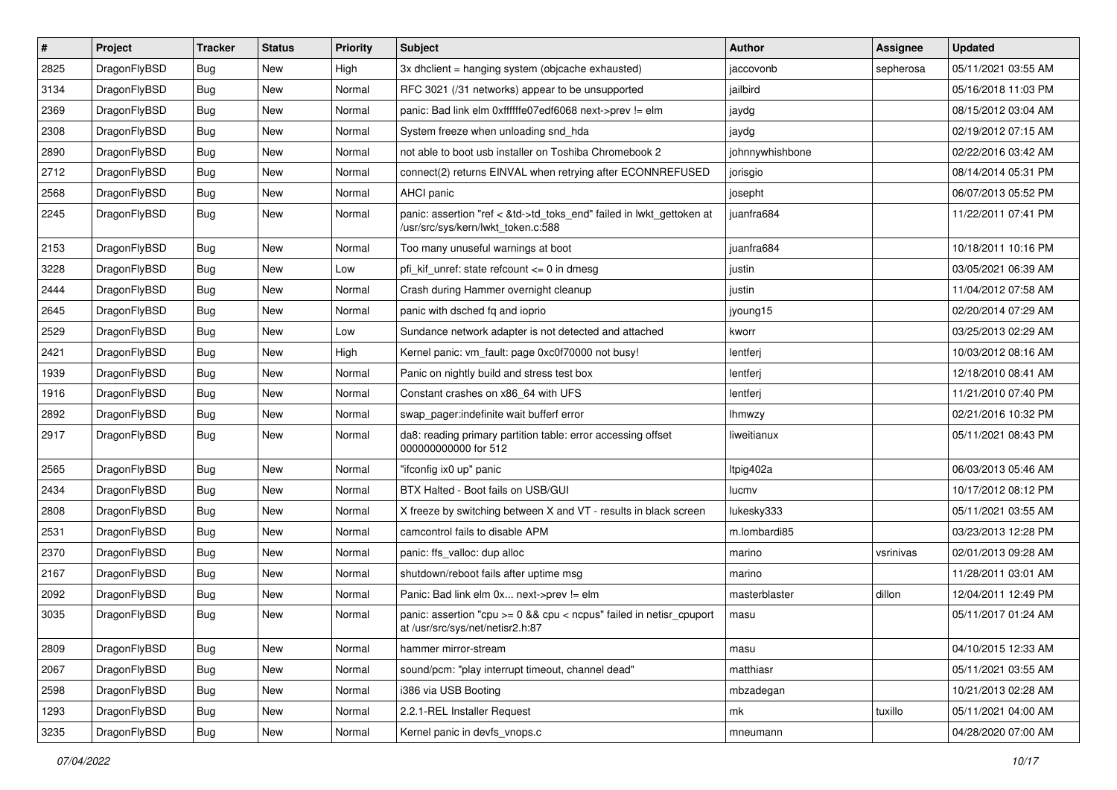| $\sharp$ | Project      | <b>Tracker</b> | <b>Status</b> | <b>Priority</b> | Subject                                                                                                    | <b>Author</b>   | Assignee  | <b>Updated</b>      |
|----------|--------------|----------------|---------------|-----------------|------------------------------------------------------------------------------------------------------------|-----------------|-----------|---------------------|
| 2825     | DragonFlyBSD | <b>Bug</b>     | New           | High            | 3x dhclient = hanging system (objcache exhausted)                                                          | jaccovonb       | sepherosa | 05/11/2021 03:55 AM |
| 3134     | DragonFlyBSD | Bug            | New           | Normal          | RFC 3021 (/31 networks) appear to be unsupported                                                           | jailbird        |           | 05/16/2018 11:03 PM |
| 2369     | DragonFlyBSD | <b>Bug</b>     | New           | Normal          | panic: Bad link elm 0xffffffe07edf6068 next->prev != elm                                                   | jaydg           |           | 08/15/2012 03:04 AM |
| 2308     | DragonFlyBSD | <b>Bug</b>     | New           | Normal          | System freeze when unloading snd_hda                                                                       | jaydg           |           | 02/19/2012 07:15 AM |
| 2890     | DragonFlyBSD | Bug            | <b>New</b>    | Normal          | not able to boot usb installer on Toshiba Chromebook 2                                                     | johnnywhishbone |           | 02/22/2016 03:42 AM |
| 2712     | DragonFlyBSD | <b>Bug</b>     | <b>New</b>    | Normal          | connect(2) returns EINVAL when retrying after ECONNREFUSED                                                 | jorisgio        |           | 08/14/2014 05:31 PM |
| 2568     | DragonFlyBSD | <b>Bug</b>     | New           | Normal          | AHCI panic                                                                                                 | josepht         |           | 06/07/2013 05:52 PM |
| 2245     | DragonFlyBSD | <b>Bug</b>     | <b>New</b>    | Normal          | panic: assertion "ref < &td->td_toks_end" failed in lwkt_gettoken at<br>/usr/src/sys/kern/lwkt_token.c:588 | juanfra684      |           | 11/22/2011 07:41 PM |
| 2153     | DragonFlyBSD | <b>Bug</b>     | <b>New</b>    | Normal          | Too many unuseful warnings at boot                                                                         | juanfra684      |           | 10/18/2011 10:16 PM |
| 3228     | DragonFlyBSD | <b>Bug</b>     | New           | Low             | pfi kif unref: state refcount $\leq$ 0 in dmesg                                                            | justin          |           | 03/05/2021 06:39 AM |
| 2444     | DragonFlyBSD | <b>Bug</b>     | New           | Normal          | Crash during Hammer overnight cleanup                                                                      | justin          |           | 11/04/2012 07:58 AM |
| 2645     | DragonFlyBSD | <b>Bug</b>     | New           | Normal          | panic with dsched fq and ioprio                                                                            | jyoung15        |           | 02/20/2014 07:29 AM |
| 2529     | DragonFlyBSD | <b>Bug</b>     | <b>New</b>    | Low             | Sundance network adapter is not detected and attached                                                      | kworr           |           | 03/25/2013 02:29 AM |
| 2421     | DragonFlyBSD | <b>Bug</b>     | New           | High            | Kernel panic: vm_fault: page 0xc0f70000 not busy!                                                          | lentferj        |           | 10/03/2012 08:16 AM |
| 1939     | DragonFlyBSD | <b>Bug</b>     | <b>New</b>    | Normal          | Panic on nightly build and stress test box                                                                 | lentferj        |           | 12/18/2010 08:41 AM |
| 1916     | DragonFlyBSD | <b>Bug</b>     | New           | Normal          | Constant crashes on x86 64 with UFS                                                                        | lentferj        |           | 11/21/2010 07:40 PM |
| 2892     | DragonFlyBSD | <b>Bug</b>     | New           | Normal          | swap_pager:indefinite wait bufferf error                                                                   | <b>Ihmwzy</b>   |           | 02/21/2016 10:32 PM |
| 2917     | DragonFlyBSD | <b>Bug</b>     | <b>New</b>    | Normal          | da8: reading primary partition table: error accessing offset<br>000000000000 for 512                       | liweitianux     |           | 05/11/2021 08:43 PM |
| 2565     | DragonFlyBSD | <b>Bug</b>     | <b>New</b>    | Normal          | "ifconfig ix0 up" panic                                                                                    | Itpig402a       |           | 06/03/2013 05:46 AM |
| 2434     | DragonFlyBSD | <b>Bug</b>     | New           | Normal          | BTX Halted - Boot fails on USB/GUI                                                                         | lucmv           |           | 10/17/2012 08:12 PM |
| 2808     | DragonFlyBSD | <b>Bug</b>     | New           | Normal          | X freeze by switching between X and VT - results in black screen                                           | lukesky333      |           | 05/11/2021 03:55 AM |
| 2531     | DragonFlyBSD | <b>Bug</b>     | New           | Normal          | camcontrol fails to disable APM                                                                            | m.lombardi85    |           | 03/23/2013 12:28 PM |
| 2370     | DragonFlyBSD | <b>Bug</b>     | New           | Normal          | panic: ffs_valloc: dup alloc                                                                               | marino          | vsrinivas | 02/01/2013 09:28 AM |
| 2167     | DragonFlyBSD | <b>Bug</b>     | New           | Normal          | shutdown/reboot fails after uptime msq                                                                     | marino          |           | 11/28/2011 03:01 AM |
| 2092     | DragonFlyBSD | <b>Bug</b>     | New           | Normal          | Panic: Bad link elm 0x next->prev != elm                                                                   | masterblaster   | dillon    | 12/04/2011 12:49 PM |
| 3035     | DragonFlyBSD | <b>Bug</b>     | New           | Normal          | panic: assertion "cpu >= 0 && cpu < ncpus" failed in netisr_cpuport<br>at /usr/src/sys/net/netisr2.h:87    | masu            |           | 05/11/2017 01:24 AM |
| 2809     | DragonFlyBSD | <b>Bug</b>     | <b>New</b>    | Normal          | hammer mirror-stream                                                                                       | masu            |           | 04/10/2015 12:33 AM |
| 2067     | DragonFlyBSD | <b>Bug</b>     | <b>New</b>    | Normal          | sound/pcm: "play interrupt timeout, channel dead"                                                          | matthiasr       |           | 05/11/2021 03:55 AM |
| 2598     | DragonFlyBSD | <b>Bug</b>     | New           | Normal          | i386 via USB Booting                                                                                       | mbzadegan       |           | 10/21/2013 02:28 AM |
| 1293     | DragonFlyBSD | <b>Bug</b>     | New           | Normal          | 2.2.1-REL Installer Request                                                                                | mk              | tuxillo   | 05/11/2021 04:00 AM |
| 3235     | DragonFlyBSD | <b>Bug</b>     | New           | Normal          | Kernel panic in devfs_vnops.c                                                                              | mneumann        |           | 04/28/2020 07:00 AM |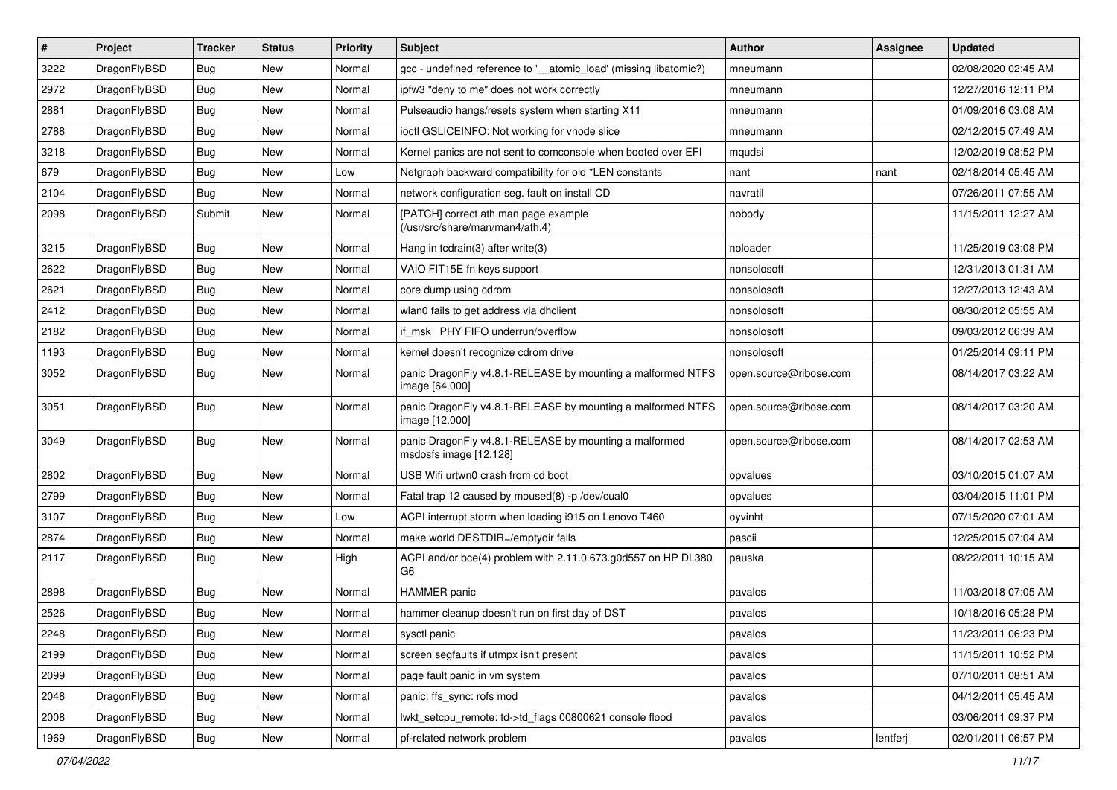| $\sharp$ | Project      | <b>Tracker</b> | <b>Status</b> | <b>Priority</b> | Subject                                                                          | <b>Author</b>          | Assignee | <b>Updated</b>      |
|----------|--------------|----------------|---------------|-----------------|----------------------------------------------------------------------------------|------------------------|----------|---------------------|
| 3222     | DragonFlyBSD | Bug            | New           | Normal          | gcc - undefined reference to '__atomic_load' (missing libatomic?)                | mneumann               |          | 02/08/2020 02:45 AM |
| 2972     | DragonFlyBSD | Bug            | <b>New</b>    | Normal          | ipfw3 "deny to me" does not work correctly                                       | mneumann               |          | 12/27/2016 12:11 PM |
| 2881     | DragonFlyBSD | <b>Bug</b>     | <b>New</b>    | Normal          | Pulseaudio hangs/resets system when starting X11                                 | mneumann               |          | 01/09/2016 03:08 AM |
| 2788     | DragonFlyBSD | <b>Bug</b>     | New           | Normal          | ioctl GSLICEINFO: Not working for vnode slice                                    | mneumann               |          | 02/12/2015 07:49 AM |
| 3218     | DragonFlyBSD | Bug            | <b>New</b>    | Normal          | Kernel panics are not sent to comconsole when booted over EFI                    | mqudsi                 |          | 12/02/2019 08:52 PM |
| 679      | DragonFlyBSD | <b>Bug</b>     | New           | Low             | Netgraph backward compatibility for old *LEN constants                           | nant                   | nant     | 02/18/2014 05:45 AM |
| 2104     | DragonFlyBSD | Bug            | New           | Normal          | network configuration seg. fault on install CD                                   | navratil               |          | 07/26/2011 07:55 AM |
| 2098     | DragonFlyBSD | Submit         | New           | Normal          | [PATCH] correct ath man page example<br>(/usr/src/share/man/man4/ath.4)          | nobody                 |          | 11/15/2011 12:27 AM |
| 3215     | DragonFlyBSD | Bug            | New           | Normal          | Hang in tcdrain(3) after write(3)                                                | noloader               |          | 11/25/2019 03:08 PM |
| 2622     | DragonFlyBSD | <b>Bug</b>     | <b>New</b>    | Normal          | VAIO FIT15E fn keys support                                                      | nonsolosoft            |          | 12/31/2013 01:31 AM |
| 2621     | DragonFlyBSD | <b>Bug</b>     | New           | Normal          | core dump using cdrom                                                            | nonsolosoft            |          | 12/27/2013 12:43 AM |
| 2412     | DragonFlyBSD | Bug            | <b>New</b>    | Normal          | wlan0 fails to get address via dhclient                                          | nonsolosoft            |          | 08/30/2012 05:55 AM |
| 2182     | DragonFlyBSD | <b>Bug</b>     | <b>New</b>    | Normal          | if_msk PHY FIFO underrun/overflow                                                | nonsolosoft            |          | 09/03/2012 06:39 AM |
| 1193     | DragonFlyBSD | <b>Bug</b>     | New           | Normal          | kernel doesn't recognize cdrom drive                                             | nonsolosoft            |          | 01/25/2014 09:11 PM |
| 3052     | DragonFlyBSD | <b>Bug</b>     | <b>New</b>    | Normal          | panic DragonFly v4.8.1-RELEASE by mounting a malformed NTFS<br>image [64.000]    | open.source@ribose.com |          | 08/14/2017 03:22 AM |
| 3051     | DragonFlyBSD | <b>Bug</b>     | New           | Normal          | panic DragonFly v4.8.1-RELEASE by mounting a malformed NTFS<br>image [12.000]    | open.source@ribose.com |          | 08/14/2017 03:20 AM |
| 3049     | DragonFlyBSD | Bug            | New           | Normal          | panic DragonFly v4.8.1-RELEASE by mounting a malformed<br>msdosfs image [12.128] | open.source@ribose.com |          | 08/14/2017 02:53 AM |
| 2802     | DragonFlyBSD | Bug            | <b>New</b>    | Normal          | USB Wifi urtwn0 crash from cd boot                                               | opvalues               |          | 03/10/2015 01:07 AM |
| 2799     | DragonFlyBSD | <b>Bug</b>     | New           | Normal          | Fatal trap 12 caused by moused(8) -p /dev/cual0                                  | opvalues               |          | 03/04/2015 11:01 PM |
| 3107     | DragonFlyBSD | <b>Bug</b>     | New           | Low             | ACPI interrupt storm when loading i915 on Lenovo T460                            | oyvinht                |          | 07/15/2020 07:01 AM |
| 2874     | DragonFlyBSD | <b>Bug</b>     | <b>New</b>    | Normal          | make world DESTDIR=/emptydir fails                                               | pascii                 |          | 12/25/2015 07:04 AM |
| 2117     | DragonFlyBSD | <b>Bug</b>     | New           | High            | ACPI and/or bce(4) problem with 2.11.0.673.g0d557 on HP DL380<br>G6              | pauska                 |          | 08/22/2011 10:15 AM |
| 2898     | DragonFlyBSD | Bug            | New           | Normal          | <b>HAMMER</b> panic                                                              | pavalos                |          | 11/03/2018 07:05 AM |
| 2526     | DragonFlyBSD | Bug            | <b>New</b>    | Normal          | hammer cleanup doesn't run on first day of DST                                   | pavalos                |          | 10/18/2016 05:28 PM |
| 2248     | DragonFlyBSD | <b>Bug</b>     | <b>New</b>    | Normal          | sysctl panic                                                                     | pavalos                |          | 11/23/2011 06:23 PM |
| 2199     | DragonFlyBSD | <b>Bug</b>     | <b>New</b>    | Normal          | screen segfaults if utmpx isn't present                                          | pavalos                |          | 11/15/2011 10:52 PM |
| 2099     | DragonFlyBSD | <b>Bug</b>     | New           | Normal          | page fault panic in vm system                                                    | pavalos                |          | 07/10/2011 08:51 AM |
| 2048     | DragonFlyBSD | <b>Bug</b>     | New           | Normal          | panic: ffs_sync: rofs mod                                                        | pavalos                |          | 04/12/2011 05:45 AM |
| 2008     | DragonFlyBSD | <b>Bug</b>     | <b>New</b>    | Normal          | lwkt_setcpu_remote: td->td_flags 00800621 console flood                          | pavalos                |          | 03/06/2011 09:37 PM |
| 1969     | DragonFlyBSD | <b>Bug</b>     | New           | Normal          | pf-related network problem                                                       | pavalos                | lentferj | 02/01/2011 06:57 PM |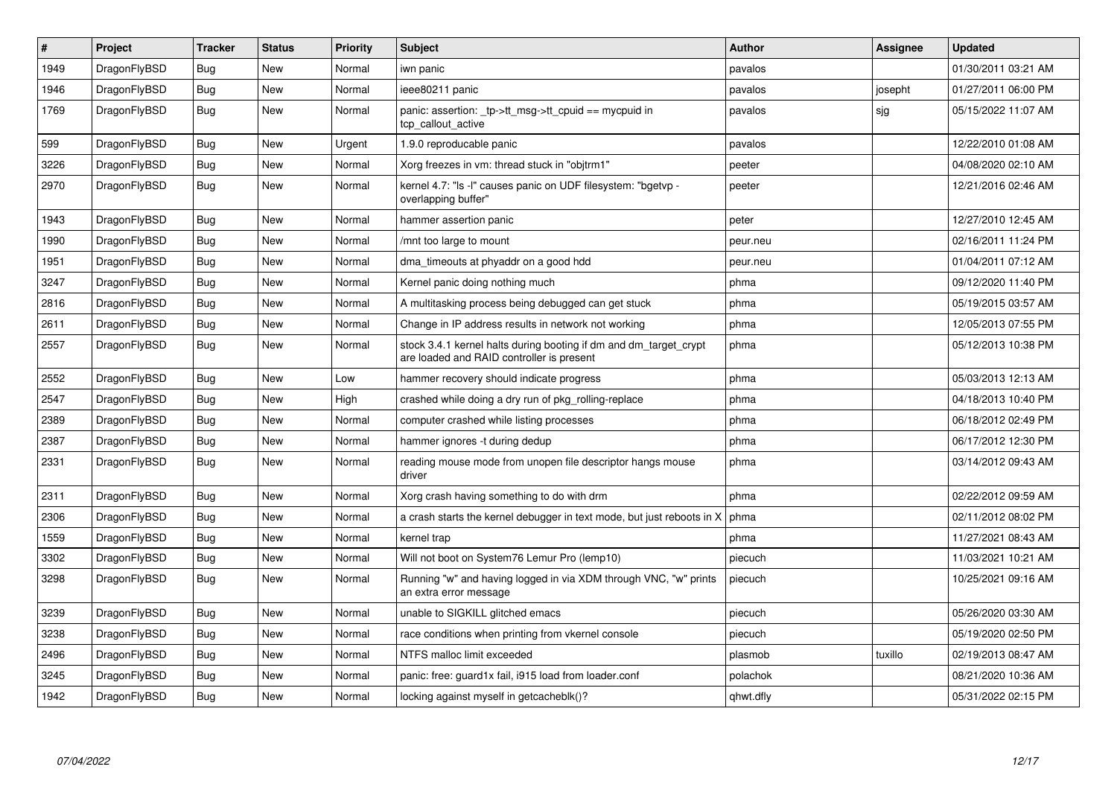| $\vert$ # | Project      | <b>Tracker</b> | <b>Status</b> | <b>Priority</b> | <b>Subject</b>                                                                                                 | <b>Author</b> | Assignee | <b>Updated</b>      |
|-----------|--------------|----------------|---------------|-----------------|----------------------------------------------------------------------------------------------------------------|---------------|----------|---------------------|
| 1949      | DragonFlyBSD | <b>Bug</b>     | <b>New</b>    | Normal          | iwn panic                                                                                                      | pavalos       |          | 01/30/2011 03:21 AM |
| 1946      | DragonFlyBSD | Bug            | <b>New</b>    | Normal          | ieee80211 panic                                                                                                | pavalos       | josepht  | 01/27/2011 06:00 PM |
| 1769      | DragonFlyBSD | <b>Bug</b>     | <b>New</b>    | Normal          | panic: assertion: _tp->tt_msg->tt_cpuid == mycpuid in<br>tcp_callout_active                                    | pavalos       | sjg      | 05/15/2022 11:07 AM |
| 599       | DragonFlyBSD | Bug            | <b>New</b>    | Urgent          | 1.9.0 reproducable panic                                                                                       | pavalos       |          | 12/22/2010 01:08 AM |
| 3226      | DragonFlyBSD | Bug            | New           | Normal          | Xorg freezes in vm: thread stuck in "objtrm1"                                                                  | peeter        |          | 04/08/2020 02:10 AM |
| 2970      | DragonFlyBSD | <b>Bug</b>     | <b>New</b>    | Normal          | kernel 4.7: "Is -I" causes panic on UDF filesystem: "bgetvp -<br>overlapping buffer"                           | peeter        |          | 12/21/2016 02:46 AM |
| 1943      | DragonFlyBSD | <b>Bug</b>     | <b>New</b>    | Normal          | hammer assertion panic                                                                                         | peter         |          | 12/27/2010 12:45 AM |
| 1990      | DragonFlyBSD | Bug            | New           | Normal          | mnt too large to mount                                                                                         | peur.neu      |          | 02/16/2011 11:24 PM |
| 1951      | DragonFlyBSD | Bug            | New           | Normal          | dma_timeouts at phyaddr on a good hdd                                                                          | peur.neu      |          | 01/04/2011 07:12 AM |
| 3247      | DragonFlyBSD | Bug            | <b>New</b>    | Normal          | Kernel panic doing nothing much                                                                                | phma          |          | 09/12/2020 11:40 PM |
| 2816      | DragonFlyBSD | Bug            | <b>New</b>    | Normal          | A multitasking process being debugged can get stuck                                                            | phma          |          | 05/19/2015 03:57 AM |
| 2611      | DragonFlyBSD | Bug            | <b>New</b>    | Normal          | Change in IP address results in network not working                                                            | phma          |          | 12/05/2013 07:55 PM |
| 2557      | DragonFlyBSD | Bug            | New           | Normal          | stock 3.4.1 kernel halts during booting if dm and dm_target_crypt<br>are loaded and RAID controller is present | phma          |          | 05/12/2013 10:38 PM |
| 2552      | DragonFlyBSD | <b>Bug</b>     | <b>New</b>    | Low             | hammer recovery should indicate progress                                                                       | phma          |          | 05/03/2013 12:13 AM |
| 2547      | DragonFlyBSD | Bug            | <b>New</b>    | High            | crashed while doing a dry run of pkg rolling-replace                                                           | phma          |          | 04/18/2013 10:40 PM |
| 2389      | DragonFlyBSD | Bug            | New           | Normal          | computer crashed while listing processes                                                                       | phma          |          | 06/18/2012 02:49 PM |
| 2387      | DragonFlyBSD | Bug            | New           | Normal          | hammer ignores -t during dedup                                                                                 | phma          |          | 06/17/2012 12:30 PM |
| 2331      | DragonFlyBSD | <b>Bug</b>     | New           | Normal          | reading mouse mode from unopen file descriptor hangs mouse<br>driver                                           | phma          |          | 03/14/2012 09:43 AM |
| 2311      | DragonFlyBSD | Bug            | <b>New</b>    | Normal          | Xorg crash having something to do with drm                                                                     | phma          |          | 02/22/2012 09:59 AM |
| 2306      | DragonFlyBSD | Bug            | New           | Normal          | a crash starts the kernel debugger in text mode, but just reboots in X                                         | phma          |          | 02/11/2012 08:02 PM |
| 1559      | DragonFlyBSD | Bug            | New           | Normal          | kernel trap                                                                                                    | phma          |          | 11/27/2021 08:43 AM |
| 3302      | DragonFlyBSD | Bug            | <b>New</b>    | Normal          | Will not boot on System76 Lemur Pro (lemp10)                                                                   | piecuch       |          | 11/03/2021 10:21 AM |
| 3298      | DragonFlyBSD | Bug            | New           | Normal          | Running "w" and having logged in via XDM through VNC, "w" prints<br>an extra error message                     | piecuch       |          | 10/25/2021 09:16 AM |
| 3239      | DragonFlyBSD | Bug            | New           | Normal          | unable to SIGKILL glitched emacs                                                                               | piecuch       |          | 05/26/2020 03:30 AM |
| 3238      | DragonFlyBSD | <b>Bug</b>     | New           | Normal          | race conditions when printing from vkernel console                                                             | piecuch       |          | 05/19/2020 02:50 PM |
| 2496      | DragonFlyBSD | Bug            | <b>New</b>    | Normal          | NTFS malloc limit exceeded                                                                                     | plasmob       | tuxillo  | 02/19/2013 08:47 AM |
| 3245      | DragonFlyBSD | Bug            | <b>New</b>    | Normal          | panic: free: guard1x fail, i915 load from loader.conf                                                          | polachok      |          | 08/21/2020 10:36 AM |
| 1942      | DragonFlyBSD | Bug            | New           | Normal          | locking against myself in getcacheblk()?                                                                       | qhwt.dfly     |          | 05/31/2022 02:15 PM |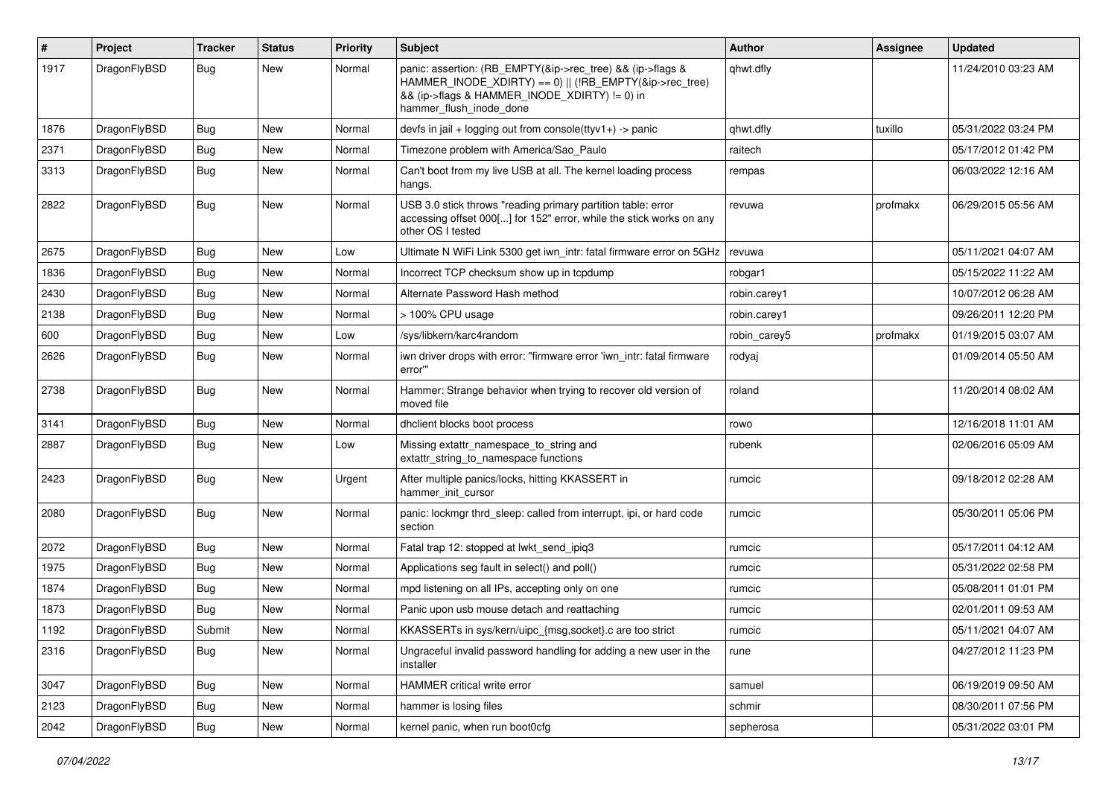| #    | Project      | <b>Tracker</b> | <b>Status</b> | <b>Priority</b> | Subject                                                                                                                                                                                           | Author       | Assignee | <b>Updated</b>      |
|------|--------------|----------------|---------------|-----------------|---------------------------------------------------------------------------------------------------------------------------------------------------------------------------------------------------|--------------|----------|---------------------|
| 1917 | DragonFlyBSD | Bug            | New           | Normal          | panic: assertion: (RB_EMPTY(&ip->rec_tree) && (ip->flags &<br>HAMMER INODE XDIRTY) == 0)    (!RB EMPTY(&ip->rec tree)<br>&& (ip->flags & HAMMER_INODE_XDIRTY) != 0) in<br>hammer_flush_inode_done | qhwt.dfly    |          | 11/24/2010 03:23 AM |
| 1876 | DragonFlyBSD | Bug            | <b>New</b>    | Normal          | devfs in $ ail + logging$ out from console(ttyv1+) -> panic                                                                                                                                       | qhwt.dfly    | tuxillo  | 05/31/2022 03:24 PM |
| 2371 | DragonFlyBSD | <b>Bug</b>     | New           | Normal          | Timezone problem with America/Sao Paulo                                                                                                                                                           | raitech      |          | 05/17/2012 01:42 PM |
| 3313 | DragonFlyBSD | Bug            | New           | Normal          | Can't boot from my live USB at all. The kernel loading process<br>hangs.                                                                                                                          | rempas       |          | 06/03/2022 12:16 AM |
| 2822 | DragonFlyBSD | <b>Bug</b>     | <b>New</b>    | Normal          | USB 3.0 stick throws "reading primary partition table: error<br>accessing offset 000[] for 152" error, while the stick works on any<br>other OS I tested                                          | revuwa       | profmakx | 06/29/2015 05:56 AM |
| 2675 | DragonFlyBSD | Bug            | <b>New</b>    | Low             | Ultimate N WiFi Link 5300 get iwn_intr: fatal firmware error on 5GHz                                                                                                                              | revuwa       |          | 05/11/2021 04:07 AM |
| 1836 | DragonFlyBSD | Bug            | <b>New</b>    | Normal          | Incorrect TCP checksum show up in tcpdump                                                                                                                                                         | robgar1      |          | 05/15/2022 11:22 AM |
| 2430 | DragonFlyBSD | <b>Bug</b>     | New           | Normal          | Alternate Password Hash method                                                                                                                                                                    | robin.carey1 |          | 10/07/2012 06:28 AM |
| 2138 | DragonFlyBSD | <b>Bug</b>     | New           | Normal          | > 100% CPU usage                                                                                                                                                                                  | robin.carey1 |          | 09/26/2011 12:20 PM |
| 600  | DragonFlyBSD | <b>Bug</b>     | <b>New</b>    | Low             | /sys/libkern/karc4random                                                                                                                                                                          | robin carey5 | profmakx | 01/19/2015 03:07 AM |
| 2626 | DragonFlyBSD | <b>Bug</b>     | New           | Normal          | iwn driver drops with error: "firmware error 'iwn intr: fatal firmware<br>error""                                                                                                                 | rodyaj       |          | 01/09/2014 05:50 AM |
| 2738 | DragonFlyBSD | Bug            | <b>New</b>    | Normal          | Hammer: Strange behavior when trying to recover old version of<br>moved file                                                                                                                      | roland       |          | 11/20/2014 08:02 AM |
| 3141 | DragonFlyBSD | Bug            | <b>New</b>    | Normal          | dhclient blocks boot process                                                                                                                                                                      | rowo         |          | 12/16/2018 11:01 AM |
| 2887 | DragonFlyBSD | Bug            | <b>New</b>    | Low             | Missing extattr_namespace_to_string and<br>extattr_string_to_namespace functions                                                                                                                  | rubenk       |          | 02/06/2016 05:09 AM |
| 2423 | DragonFlyBSD | Bug            | <b>New</b>    | Urgent          | After multiple panics/locks, hitting KKASSERT in<br>hammer init cursor                                                                                                                            | rumcic       |          | 09/18/2012 02:28 AM |
| 2080 | DragonFlyBSD | Bug            | New           | Normal          | panic: lockmgr thrd sleep: called from interrupt, ipi, or hard code<br>section                                                                                                                    | rumcic       |          | 05/30/2011 05:06 PM |
| 2072 | DragonFlyBSD | Bug            | <b>New</b>    | Normal          | Fatal trap 12: stopped at lwkt_send_ipiq3                                                                                                                                                         | rumcic       |          | 05/17/2011 04:12 AM |
| 1975 | DragonFlyBSD | <b>Bug</b>     | <b>New</b>    | Normal          | Applications seg fault in select() and poll()                                                                                                                                                     | rumcic       |          | 05/31/2022 02:58 PM |
| 1874 | DragonFlyBSD | Bug            | New           | Normal          | mpd listening on all IPs, accepting only on one                                                                                                                                                   | rumcic       |          | 05/08/2011 01:01 PM |
| 1873 | DragonFlyBSD | <b>Bug</b>     | New           | Normal          | Panic upon usb mouse detach and reattaching                                                                                                                                                       | rumcic       |          | 02/01/2011 09:53 AM |
| 1192 | DragonFlyBSD | Submit         | New           | Normal          | KKASSERTs in sys/kern/uipc_{msg,socket}.c are too strict                                                                                                                                          | rumcic       |          | 05/11/2021 04:07 AM |
| 2316 | DragonFlyBSD | <b>Bug</b>     | New           | Normal          | Ungraceful invalid password handling for adding a new user in the<br>installer                                                                                                                    | rune         |          | 04/27/2012 11:23 PM |
| 3047 | DragonFlyBSD | Bug            | New           | Normal          | HAMMER critical write error                                                                                                                                                                       | samuel       |          | 06/19/2019 09:50 AM |
| 2123 | DragonFlyBSD | <b>Bug</b>     | New           | Normal          | hammer is losing files                                                                                                                                                                            | schmir       |          | 08/30/2011 07:56 PM |
| 2042 | DragonFlyBSD | <b>Bug</b>     | New           | Normal          | kernel panic, when run boot0cfg                                                                                                                                                                   | sepherosa    |          | 05/31/2022 03:01 PM |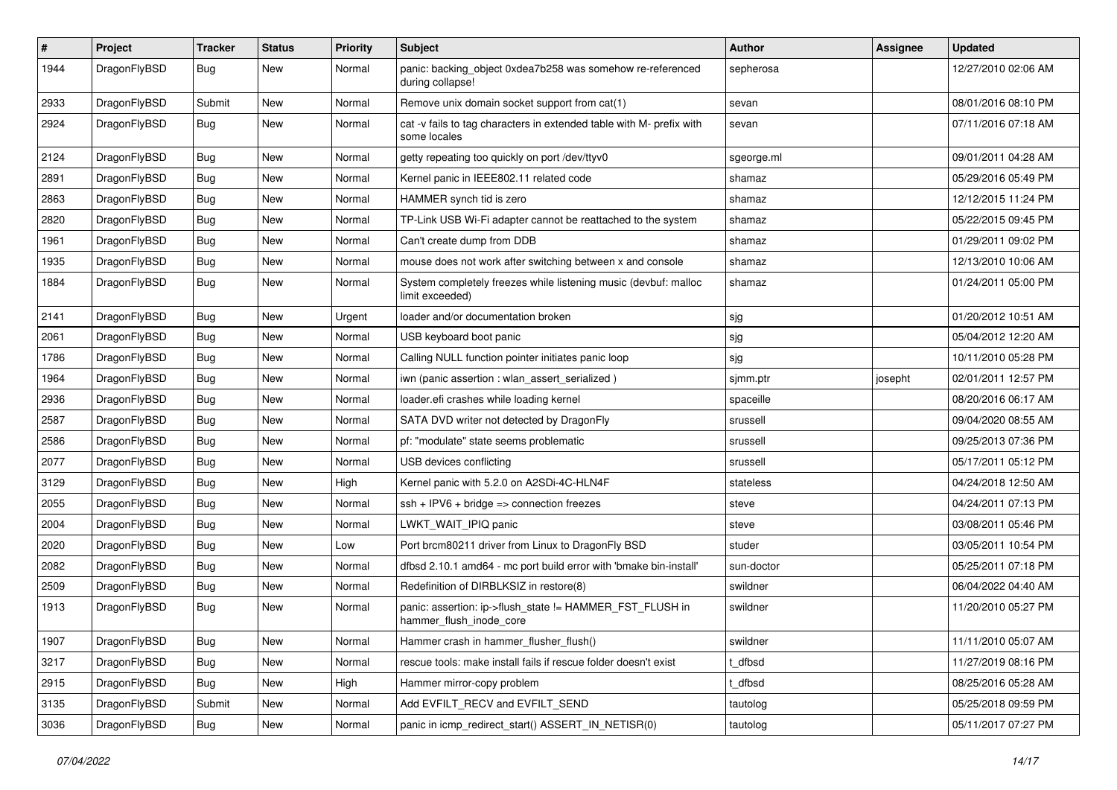| $\sharp$ | Project      | <b>Tracker</b> | <b>Status</b> | <b>Priority</b> | Subject                                                                              | Author     | Assignee | <b>Updated</b>      |
|----------|--------------|----------------|---------------|-----------------|--------------------------------------------------------------------------------------|------------|----------|---------------------|
| 1944     | DragonFlyBSD | Bug            | New           | Normal          | panic: backing_object 0xdea7b258 was somehow re-referenced<br>during collapse!       | sepherosa  |          | 12/27/2010 02:06 AM |
| 2933     | DragonFlyBSD | Submit         | <b>New</b>    | Normal          | Remove unix domain socket support from cat(1)                                        | sevan      |          | 08/01/2016 08:10 PM |
| 2924     | DragonFlyBSD | Bug            | New           | Normal          | cat -v fails to tag characters in extended table with M- prefix with<br>some locales | sevan      |          | 07/11/2016 07:18 AM |
| 2124     | DragonFlyBSD | Bug            | <b>New</b>    | Normal          | getty repeating too quickly on port /dev/ttyv0                                       | sgeorge.ml |          | 09/01/2011 04:28 AM |
| 2891     | DragonFlyBSD | <b>Bug</b>     | New           | Normal          | Kernel panic in IEEE802.11 related code                                              | shamaz     |          | 05/29/2016 05:49 PM |
| 2863     | DragonFlyBSD | <b>Bug</b>     | <b>New</b>    | Normal          | HAMMER synch tid is zero                                                             | shamaz     |          | 12/12/2015 11:24 PM |
| 2820     | DragonFlyBSD | <b>Bug</b>     | <b>New</b>    | Normal          | TP-Link USB Wi-Fi adapter cannot be reattached to the system                         | shamaz     |          | 05/22/2015 09:45 PM |
| 1961     | DragonFlyBSD | <b>Bug</b>     | <b>New</b>    | Normal          | Can't create dump from DDB                                                           | shamaz     |          | 01/29/2011 09:02 PM |
| 1935     | DragonFlyBSD | Bug            | <b>New</b>    | Normal          | mouse does not work after switching between x and console                            | shamaz     |          | 12/13/2010 10:06 AM |
| 1884     | DragonFlyBSD | Bug            | New           | Normal          | System completely freezes while listening music (devbuf: malloc<br>limit exceeded)   | shamaz     |          | 01/24/2011 05:00 PM |
| 2141     | DragonFlyBSD | Bug            | <b>New</b>    | Urgent          | loader and/or documentation broken                                                   | sjg        |          | 01/20/2012 10:51 AM |
| 2061     | DragonFlyBSD | <b>Bug</b>     | <b>New</b>    | Normal          | USB keyboard boot panic                                                              | sjg        |          | 05/04/2012 12:20 AM |
| 1786     | DragonFlyBSD | <b>Bug</b>     | New           | Normal          | Calling NULL function pointer initiates panic loop                                   | sjg        |          | 10/11/2010 05:28 PM |
| 1964     | DragonFlyBSD | <b>Bug</b>     | <b>New</b>    | Normal          | iwn (panic assertion : wlan assert serialized)                                       | sjmm.ptr   | josepht  | 02/01/2011 12:57 PM |
| 2936     | DragonFlyBSD | Bug            | <b>New</b>    | Normal          | loader.efi crashes while loading kernel                                              | spaceille  |          | 08/20/2016 06:17 AM |
| 2587     | DragonFlyBSD | <b>Bug</b>     | New           | Normal          | SATA DVD writer not detected by DragonFly                                            | srussell   |          | 09/04/2020 08:55 AM |
| 2586     | DragonFlyBSD | <b>Bug</b>     | <b>New</b>    | Normal          | pf: "modulate" state seems problematic                                               | srussell   |          | 09/25/2013 07:36 PM |
| 2077     | DragonFlyBSD | <b>Bug</b>     | New           | Normal          | USB devices conflicting                                                              | srussell   |          | 05/17/2011 05:12 PM |
| 3129     | DragonFlyBSD | <b>Bug</b>     | <b>New</b>    | High            | Kernel panic with 5.2.0 on A2SDi-4C-HLN4F                                            | stateless  |          | 04/24/2018 12:50 AM |
| 2055     | DragonFlyBSD | Bug            | <b>New</b>    | Normal          | $ssh + IPV6 + bridge \Rightarrow connection freezes$                                 | steve      |          | 04/24/2011 07:13 PM |
| 2004     | DragonFlyBSD | <b>Bug</b>     | New           | Normal          | LWKT_WAIT_IPIQ panic                                                                 | steve      |          | 03/08/2011 05:46 PM |
| 2020     | DragonFlyBSD | <b>Bug</b>     | New           | Low             | Port brcm80211 driver from Linux to DragonFly BSD                                    | studer     |          | 03/05/2011 10:54 PM |
| 2082     | DragonFlyBSD | <b>Bug</b>     | <b>New</b>    | Normal          | dfbsd 2.10.1 amd64 - mc port build error with 'bmake bin-install'                    | sun-doctor |          | 05/25/2011 07:18 PM |
| 2509     | DragonFlyBSD | <b>Bug</b>     | New           | Normal          | Redefinition of DIRBLKSIZ in restore(8)                                              | swildner   |          | 06/04/2022 04:40 AM |
| 1913     | DragonFlyBSD | <b>Bug</b>     | <b>New</b>    | Normal          | panic: assertion: ip->flush_state != HAMMER_FST_FLUSH in<br>hammer_flush_inode_core  | swildner   |          | 11/20/2010 05:27 PM |
| 1907     | DragonFlyBSD | <b>Bug</b>     | New           | Normal          | Hammer crash in hammer_flusher_flush()                                               | swildner   |          | 11/11/2010 05:07 AM |
| 3217     | DragonFlyBSD | <b>Bug</b>     | New           | Normal          | rescue tools: make install fails if rescue folder doesn't exist                      | t_dfbsd    |          | 11/27/2019 08:16 PM |
| 2915     | DragonFlyBSD | <b>Bug</b>     | New           | High            | Hammer mirror-copy problem                                                           | t dfbsd    |          | 08/25/2016 05:28 AM |
| 3135     | DragonFlyBSD | Submit         | New           | Normal          | Add EVFILT_RECV and EVFILT_SEND                                                      | tautolog   |          | 05/25/2018 09:59 PM |
| 3036     | DragonFlyBSD | <b>Bug</b>     | New           | Normal          | panic in icmp_redirect_start() ASSERT_IN_NETISR(0)                                   | tautolog   |          | 05/11/2017 07:27 PM |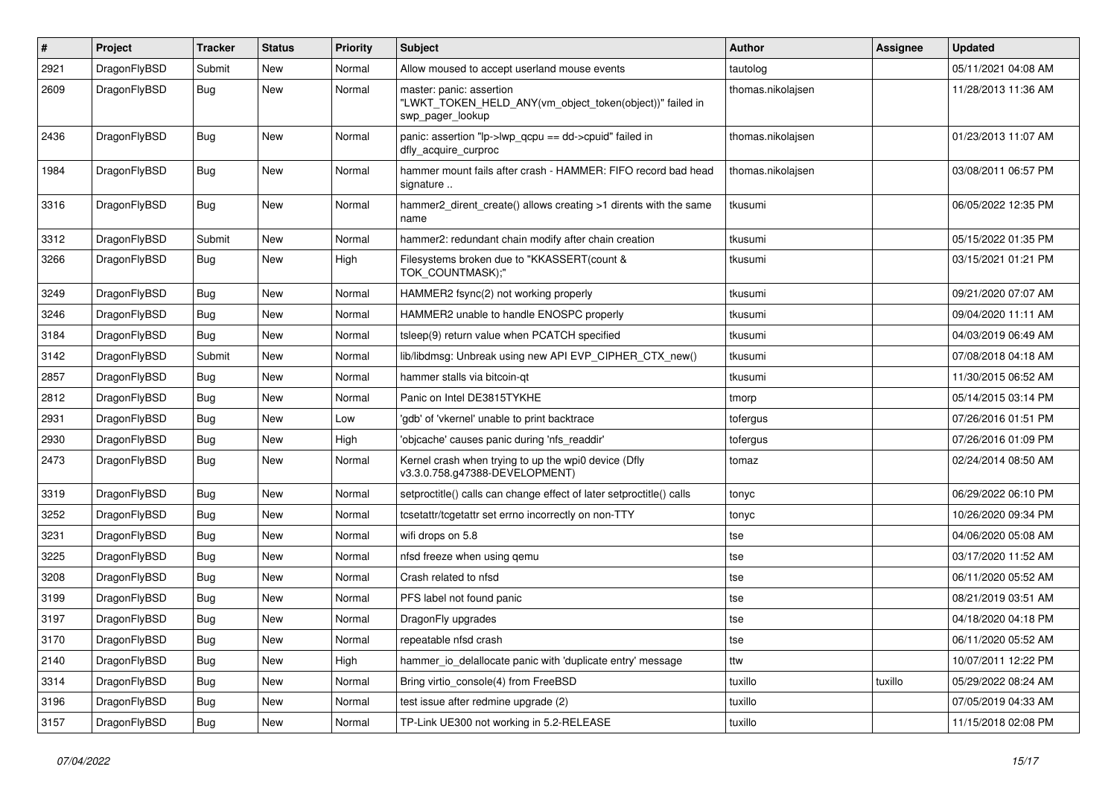| #    | Project      | <b>Tracker</b> | <b>Status</b> | <b>Priority</b> | Subject                                                                                                  | <b>Author</b>     | <b>Assignee</b> | <b>Updated</b>      |
|------|--------------|----------------|---------------|-----------------|----------------------------------------------------------------------------------------------------------|-------------------|-----------------|---------------------|
| 2921 | DragonFlyBSD | Submit         | <b>New</b>    | Normal          | Allow moused to accept userland mouse events                                                             | tautolog          |                 | 05/11/2021 04:08 AM |
| 2609 | DragonFlyBSD | Bug            | New           | Normal          | master: panic: assertion<br>"LWKT_TOKEN_HELD_ANY(vm_object_token(object))" failed in<br>swp_pager_lookup | thomas.nikolajsen |                 | 11/28/2013 11:36 AM |
| 2436 | DragonFlyBSD | <b>Bug</b>     | New           | Normal          | panic: assertion "lp->lwp_qcpu == dd->cpuid" failed in<br>dfly_acquire_curproc                           | thomas.nikolajsen |                 | 01/23/2013 11:07 AM |
| 1984 | DragonFlyBSD | Bug            | <b>New</b>    | Normal          | hammer mount fails after crash - HAMMER: FIFO record bad head<br>signature                               | thomas.nikolajsen |                 | 03/08/2011 06:57 PM |
| 3316 | DragonFlyBSD | Bug            | <b>New</b>    | Normal          | hammer2_dirent_create() allows creating >1 dirents with the same<br>name                                 | tkusumi           |                 | 06/05/2022 12:35 PM |
| 3312 | DragonFlyBSD | Submit         | New           | Normal          | hammer2: redundant chain modify after chain creation                                                     | tkusumi           |                 | 05/15/2022 01:35 PM |
| 3266 | DragonFlyBSD | Bug            | New           | High            | Filesystems broken due to "KKASSERT(count &<br>TOK_COUNTMASK);"                                          | tkusumi           |                 | 03/15/2021 01:21 PM |
| 3249 | DragonFlyBSD | Bug            | New           | Normal          | HAMMER2 fsync(2) not working properly                                                                    | tkusumi           |                 | 09/21/2020 07:07 AM |
| 3246 | DragonFlyBSD | Bug            | New           | Normal          | HAMMER2 unable to handle ENOSPC properly                                                                 | tkusumi           |                 | 09/04/2020 11:11 AM |
| 3184 | DragonFlyBSD | Bug            | New           | Normal          | tsleep(9) return value when PCATCH specified                                                             | tkusumi           |                 | 04/03/2019 06:49 AM |
| 3142 | DragonFlyBSD | Submit         | <b>New</b>    | Normal          | lib/libdmsg: Unbreak using new API EVP_CIPHER_CTX_new()                                                  | tkusumi           |                 | 07/08/2018 04:18 AM |
| 2857 | DragonFlyBSD | Bug            | <b>New</b>    | Normal          | hammer stalls via bitcoin-qt                                                                             | tkusumi           |                 | 11/30/2015 06:52 AM |
| 2812 | DragonFlyBSD | Bug            | New           | Normal          | Panic on Intel DE3815TYKHE                                                                               | tmorp             |                 | 05/14/2015 03:14 PM |
| 2931 | DragonFlyBSD | Bug            | New           | Low             | 'gdb' of 'vkernel' unable to print backtrace                                                             | tofergus          |                 | 07/26/2016 01:51 PM |
| 2930 | DragonFlyBSD | Bug            | <b>New</b>    | High            | 'objcache' causes panic during 'nfs_readdir'                                                             | tofergus          |                 | 07/26/2016 01:09 PM |
| 2473 | DragonFlyBSD | <b>Bug</b>     | New           | Normal          | Kernel crash when trying to up the wpi0 device (Dfly<br>v3.3.0.758.g47388-DEVELOPMENT)                   | tomaz             |                 | 02/24/2014 08:50 AM |
| 3319 | DragonFlyBSD | Bug            | New           | Normal          | setproctitle() calls can change effect of later setproctitle() calls                                     | tonyc             |                 | 06/29/2022 06:10 PM |
| 3252 | DragonFlyBSD | Bug            | <b>New</b>    | Normal          | tcsetattr/tcgetattr set errno incorrectly on non-TTY                                                     | tonyc             |                 | 10/26/2020 09:34 PM |
| 3231 | DragonFlyBSD | Bug            | <b>New</b>    | Normal          | wifi drops on 5.8                                                                                        | tse               |                 | 04/06/2020 05:08 AM |
| 3225 | DragonFlyBSD | Bug            | <b>New</b>    | Normal          | nfsd freeze when using qemu                                                                              | tse               |                 | 03/17/2020 11:52 AM |
| 3208 | DragonFlyBSD | Bug            | New           | Normal          | Crash related to nfsd                                                                                    | tse               |                 | 06/11/2020 05:52 AM |
| 3199 | DragonFlyBSD | Bug            | New           | Normal          | PFS label not found panic                                                                                | tse               |                 | 08/21/2019 03:51 AM |
| 3197 | DragonFlyBSD | Bug            | <b>New</b>    | Normal          | DragonFly upgrades                                                                                       | tse               |                 | 04/18/2020 04:18 PM |
| 3170 | DragonFlyBSD | <b>Bug</b>     | <b>New</b>    | Normal          | repeatable nfsd crash                                                                                    | tse               |                 | 06/11/2020 05:52 AM |
| 2140 | DragonFlyBSD | <b>Bug</b>     | New           | High            | hammer_io_delallocate panic with 'duplicate entry' message                                               | ttw               |                 | 10/07/2011 12:22 PM |
| 3314 | DragonFlyBSD | <b>Bug</b>     | <b>New</b>    | Normal          | Bring virtio console(4) from FreeBSD                                                                     | tuxillo           | tuxillo         | 05/29/2022 08:24 AM |
| 3196 | DragonFlyBSD | <b>Bug</b>     | <b>New</b>    | Normal          | test issue after redmine upgrade (2)                                                                     | tuxillo           |                 | 07/05/2019 04:33 AM |
| 3157 | DragonFlyBSD | <b>Bug</b>     | New           | Normal          | TP-Link UE300 not working in 5.2-RELEASE                                                                 | tuxillo           |                 | 11/15/2018 02:08 PM |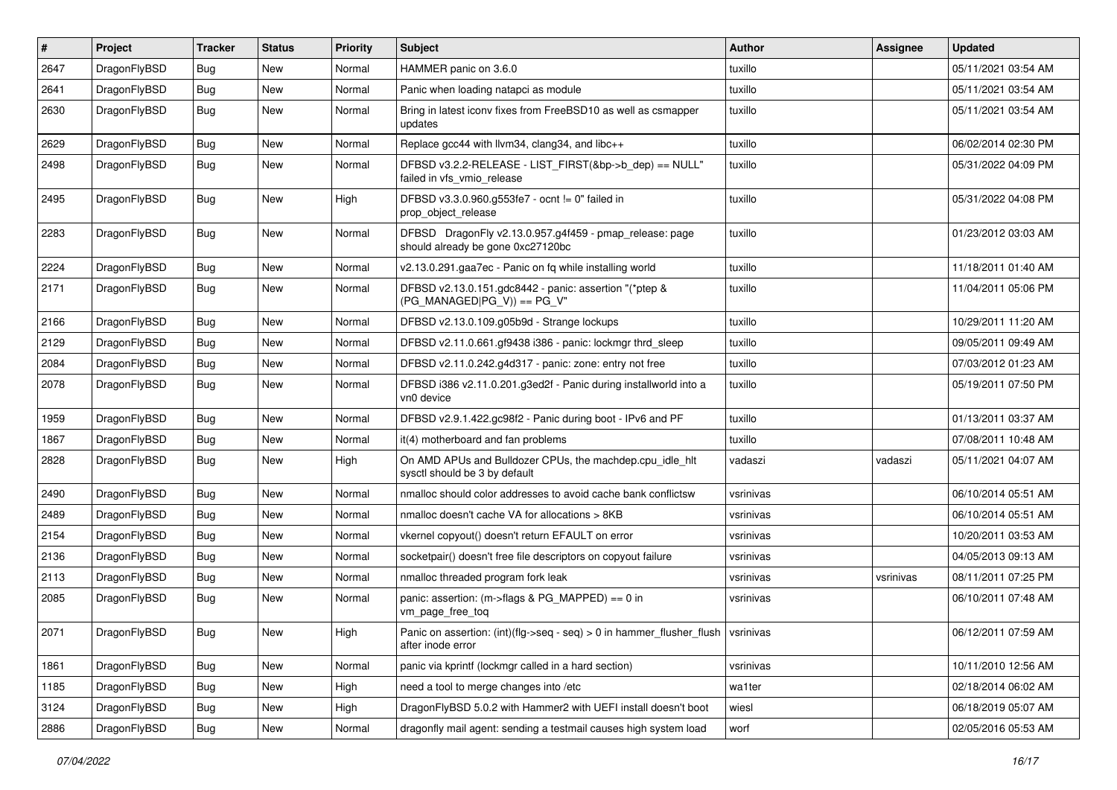| $\sharp$ | Project      | <b>Tracker</b> | <b>Status</b> | <b>Priority</b> | Subject                                                                                              | <b>Author</b> | Assignee  | <b>Updated</b>      |
|----------|--------------|----------------|---------------|-----------------|------------------------------------------------------------------------------------------------------|---------------|-----------|---------------------|
| 2647     | DragonFlyBSD | Bug            | New           | Normal          | HAMMER panic on 3.6.0                                                                                | tuxillo       |           | 05/11/2021 03:54 AM |
| 2641     | DragonFlyBSD | Bug            | <b>New</b>    | Normal          | Panic when loading natapci as module                                                                 | tuxillo       |           | 05/11/2021 03:54 AM |
| 2630     | DragonFlyBSD | Bug            | New           | Normal          | Bring in latest iconv fixes from FreeBSD10 as well as csmapper<br>updates                            | tuxillo       |           | 05/11/2021 03:54 AM |
| 2629     | DragonFlyBSD | Bug            | <b>New</b>    | Normal          | Replace gcc44 with llvm34, clang34, and libc++                                                       | tuxillo       |           | 06/02/2014 02:30 PM |
| 2498     | DragonFlyBSD | Bug            | New           | Normal          | DFBSD v3.2.2-RELEASE - LIST_FIRST(&bp->b_dep) == NULL"<br>failed in vfs_vmio_release                 | tuxillo       |           | 05/31/2022 04:09 PM |
| 2495     | DragonFlyBSD | Bug            | New           | High            | DFBSD v3.3.0.960.g553fe7 - ocnt != 0" failed in<br>prop_object_release                               | tuxillo       |           | 05/31/2022 04:08 PM |
| 2283     | DragonFlyBSD | Bug            | <b>New</b>    | Normal          | DFBSD DragonFly v2.13.0.957.g4f459 - pmap_release: page<br>should already be gone 0xc27120bc         | tuxillo       |           | 01/23/2012 03:03 AM |
| 2224     | DragonFlyBSD | Bug            | New           | Normal          | v2.13.0.291.gaa7ec - Panic on fq while installing world                                              | tuxillo       |           | 11/18/2011 01:40 AM |
| 2171     | DragonFlyBSD | Bug            | New           | Normal          | DFBSD v2.13.0.151.gdc8442 - panic: assertion "(*ptep &<br>$(PG_MANAGED PG_V)$ == PG_V"               | tuxillo       |           | 11/04/2011 05:06 PM |
| 2166     | DragonFlyBSD | Bug            | New           | Normal          | DFBSD v2.13.0.109.g05b9d - Strange lockups                                                           | tuxillo       |           | 10/29/2011 11:20 AM |
| 2129     | DragonFlyBSD | Bug            | New           | Normal          | DFBSD v2.11.0.661.gf9438 i386 - panic: lockmgr thrd_sleep                                            | tuxillo       |           | 09/05/2011 09:49 AM |
| 2084     | DragonFlyBSD | Bug            | <b>New</b>    | Normal          | DFBSD v2.11.0.242.g4d317 - panic: zone: entry not free                                               | tuxillo       |           | 07/03/2012 01:23 AM |
| 2078     | DragonFlyBSD | Bug            | New           | Normal          | DFBSD i386 v2.11.0.201.g3ed2f - Panic during installworld into a<br>vn0 device                       | tuxillo       |           | 05/19/2011 07:50 PM |
| 1959     | DragonFlyBSD | Bug            | New           | Normal          | DFBSD v2.9.1.422.gc98f2 - Panic during boot - IPv6 and PF                                            | tuxillo       |           | 01/13/2011 03:37 AM |
| 1867     | DragonFlyBSD | Bug            | <b>New</b>    | Normal          | it(4) motherboard and fan problems                                                                   | tuxillo       |           | 07/08/2011 10:48 AM |
| 2828     | DragonFlyBSD | <b>Bug</b>     | New           | High            | On AMD APUs and Bulldozer CPUs, the machdep.cpu_idle_hlt<br>sysctl should be 3 by default            | vadaszi       | vadaszi   | 05/11/2021 04:07 AM |
| 2490     | DragonFlyBSD | <b>Bug</b>     | New           | Normal          | nmalloc should color addresses to avoid cache bank conflictsw                                        | vsrinivas     |           | 06/10/2014 05:51 AM |
| 2489     | DragonFlyBSD | <b>Bug</b>     | New           | Normal          | nmalloc doesn't cache VA for allocations > 8KB                                                       | vsrinivas     |           | 06/10/2014 05:51 AM |
| 2154     | DragonFlyBSD | <b>Bug</b>     | New           | Normal          | vkernel copyout() doesn't return EFAULT on error                                                     | vsrinivas     |           | 10/20/2011 03:53 AM |
| 2136     | DragonFlyBSD | <b>Bug</b>     | New           | Normal          | socketpair() doesn't free file descriptors on copyout failure                                        | vsrinivas     |           | 04/05/2013 09:13 AM |
| 2113     | DragonFlyBSD | <b>Bug</b>     | New           | Normal          | nmalloc threaded program fork leak                                                                   | vsrinivas     | vsrinivas | 08/11/2011 07:25 PM |
| 2085     | DragonFlyBSD | <b>Bug</b>     | New           | Normal          | panic: assertion: (m->flags & PG_MAPPED) == 0 in<br>vm_page_free_toq                                 | vsrinivas     |           | 06/10/2011 07:48 AM |
| 2071     | DragonFlyBSD | <b>Bug</b>     | New           | High            | Panic on assertion: (int)(flg->seq - seq) > 0 in hammer_flusher_flush vsrinivas<br>after inode error |               |           | 06/12/2011 07:59 AM |
| 1861     | DragonFlyBSD | <b>Bug</b>     | <b>New</b>    | Normal          | panic via kprintf (lockmgr called in a hard section)                                                 | vsrinivas     |           | 10/11/2010 12:56 AM |
| 1185     | DragonFlyBSD | <b>Bug</b>     | New           | High            | need a tool to merge changes into /etc                                                               | wa1ter        |           | 02/18/2014 06:02 AM |
| 3124     | DragonFlyBSD | <b>Bug</b>     | New           | High            | DragonFlyBSD 5.0.2 with Hammer2 with UEFI install doesn't boot                                       | wiesl         |           | 06/18/2019 05:07 AM |
| 2886     | DragonFlyBSD | <b>Bug</b>     | New           | Normal          | dragonfly mail agent: sending a testmail causes high system load                                     | worf          |           | 02/05/2016 05:53 AM |